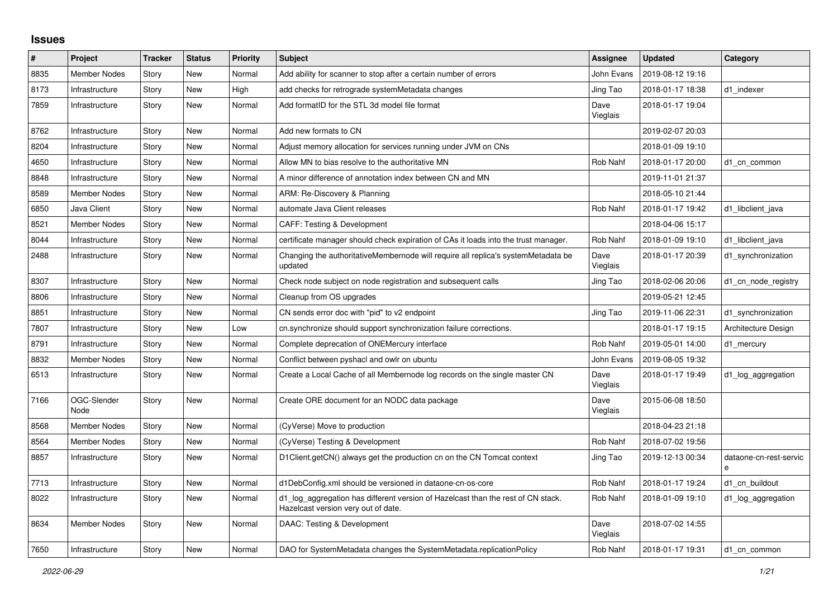## **Issues**

| #    | Project             | <b>Tracker</b> | <b>Status</b> | <b>Priority</b> | <b>Subject</b>                                                                                                          | <b>Assignee</b>  | <b>Updated</b>   | Category                    |
|------|---------------------|----------------|---------------|-----------------|-------------------------------------------------------------------------------------------------------------------------|------------------|------------------|-----------------------------|
| 8835 | <b>Member Nodes</b> | Story          | New           | Normal          | Add ability for scanner to stop after a certain number of errors                                                        | John Evans       | 2019-08-12 19:16 |                             |
| 8173 | Infrastructure      | Story          | New           | High            | add checks for retrograde systemMetadata changes                                                                        | Jing Tao         | 2018-01-17 18:38 | d1 indexer                  |
| 7859 | Infrastructure      | Story          | New           | Normal          | Add formatID for the STL 3d model file format                                                                           | Dave<br>Vieglais | 2018-01-17 19:04 |                             |
| 8762 | Infrastructure      | Story          | New           | Normal          | Add new formats to CN                                                                                                   |                  | 2019-02-07 20:03 |                             |
| 8204 | Infrastructure      | Story          | New           | Normal          | Adjust memory allocation for services running under JVM on CNs                                                          |                  | 2018-01-09 19:10 |                             |
| 4650 | Infrastructure      | Story          | <b>New</b>    | Normal          | Allow MN to bias resolve to the authoritative MN                                                                        | <b>Rob Nahf</b>  | 2018-01-17 20:00 | d1 cn common                |
| 8848 | Infrastructure      | Story          | New           | Normal          | A minor difference of annotation index between CN and MN                                                                |                  | 2019-11-01 21:37 |                             |
| 8589 | Member Nodes        | Story          | New           | Normal          | ARM: Re-Discovery & Planning                                                                                            |                  | 2018-05-10 21:44 |                             |
| 6850 | Java Client         | Story          | New           | Normal          | automate Java Client releases                                                                                           | Rob Nahf         | 2018-01-17 19:42 | d1_libclient_java           |
| 8521 | <b>Member Nodes</b> | Story          | <b>New</b>    | Normal          | <b>CAFF: Testing &amp; Development</b>                                                                                  |                  | 2018-04-06 15:17 |                             |
| 8044 | Infrastructure      | Story          | New           | Normal          | certificate manager should check expiration of CAs it loads into the trust manager.                                     | Rob Nahf         | 2018-01-09 19:10 | d1 libclient java           |
| 2488 | Infrastructure      | Story          | New           | Normal          | Changing the authoritativeMembernode will require all replica's systemMetadata be<br>updated                            | Dave<br>Vieglais | 2018-01-17 20:39 | d1 synchronization          |
| 8307 | Infrastructure      | Story          | New           | Normal          | Check node subject on node registration and subsequent calls                                                            | Jing Tao         | 2018-02-06 20:06 | d1_cn_node_registry         |
| 8806 | Infrastructure      | Story          | New           | Normal          | Cleanup from OS upgrades                                                                                                |                  | 2019-05-21 12:45 |                             |
| 8851 | Infrastructure      | Story          | New           | Normal          | CN sends error doc with "pid" to v2 endpoint                                                                            | Jing Tao         | 2019-11-06 22:31 | d1_synchronization          |
| 7807 | Infrastructure      | Story          | New           | Low             | cn.synchronize should support synchronization failure corrections.                                                      |                  | 2018-01-17 19:15 | Architecture Design         |
| 8791 | Infrastructure      | Story          | New           | Normal          | Complete deprecation of ONEMercury interface                                                                            | <b>Rob Nahf</b>  | 2019-05-01 14:00 | d1_mercury                  |
| 8832 | <b>Member Nodes</b> | Story          | New           | Normal          | Conflict between pyshacl and owlr on ubuntu                                                                             | John Evans       | 2019-08-05 19:32 |                             |
| 6513 | Infrastructure      | Story          | New           | Normal          | Create a Local Cache of all Membernode log records on the single master CN                                              | Dave<br>Vieglais | 2018-01-17 19:49 | d1_log_aggregation          |
| 7166 | OGC-Slender<br>Node | Story          | New           | Normal          | Create ORE document for an NODC data package                                                                            | Dave<br>Vieglais | 2015-06-08 18:50 |                             |
| 8568 | <b>Member Nodes</b> | Story          | New           | Normal          | (CyVerse) Move to production                                                                                            |                  | 2018-04-23 21:18 |                             |
| 8564 | <b>Member Nodes</b> | Story          | New           | Normal          | (CyVerse) Testing & Development                                                                                         | Rob Nahf         | 2018-07-02 19:56 |                             |
| 8857 | Infrastructure      | Story          | New           | Normal          | D1Client.getCN() always get the production cn on the CN Tomcat context                                                  | Jing Tao         | 2019-12-13 00:34 | dataone-cn-rest-servic<br>e |
| 7713 | Infrastructure      | Story          | New           | Normal          | d1DebConfig.xml should be versioned in dataone-cn-os-core                                                               | Rob Nahf         | 2018-01-17 19:24 | d1 cn buildout              |
| 8022 | Infrastructure      | Story          | New           | Normal          | d1_log_aggregation has different version of Hazelcast than the rest of CN stack.<br>Hazelcast version very out of date. | Rob Nahf         | 2018-01-09 19:10 | d1_log_aggregation          |
| 8634 | Member Nodes        | Story          | New           | Normal          | DAAC: Testing & Development                                                                                             | Dave<br>Vieglais | 2018-07-02 14:55 |                             |
| 7650 | Infrastructure      | Story          | New           | Normal          | DAO for SystemMetadata changes the SystemMetadata.replicationPolicy                                                     | Rob Nahf         | 2018-01-17 19:31 | d1 cn common                |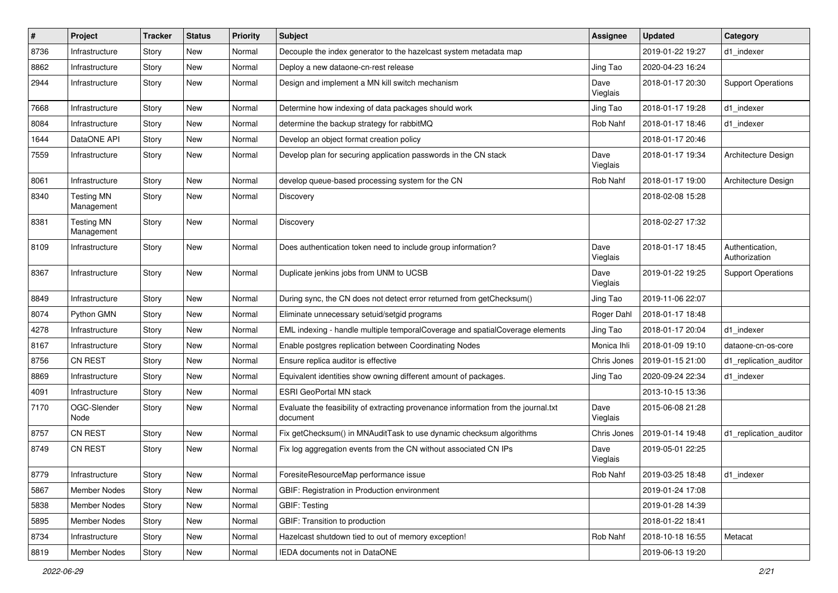| $\vert$ # | Project                         | Tracker | <b>Status</b> | <b>Priority</b> | <b>Subject</b>                                                                                 | <b>Assignee</b>  | <b>Updated</b>   | Category                         |
|-----------|---------------------------------|---------|---------------|-----------------|------------------------------------------------------------------------------------------------|------------------|------------------|----------------------------------|
| 8736      | Infrastructure                  | Story   | New           | Normal          | Decouple the index generator to the hazelcast system metadata map                              |                  | 2019-01-22 19:27 | d1 indexer                       |
| 8862      | Infrastructure                  | Story   | New           | Normal          | Deploy a new dataone-cn-rest release                                                           | Jing Tao         | 2020-04-23 16:24 |                                  |
| 2944      | Infrastructure                  | Story   | New           | Normal          | Design and implement a MN kill switch mechanism                                                | Dave<br>Vieglais | 2018-01-17 20:30 | <b>Support Operations</b>        |
| 7668      | Infrastructure                  | Story   | New           | Normal          | Determine how indexing of data packages should work                                            | Jing Tao         | 2018-01-17 19:28 | d1_indexer                       |
| 8084      | Infrastructure                  | Story   | New           | Normal          | determine the backup strategy for rabbitMQ                                                     | Rob Nahf         | 2018-01-17 18:46 | d1 indexer                       |
| 1644      | DataONE API                     | Story   | New           | Normal          | Develop an object format creation policy                                                       |                  | 2018-01-17 20:46 |                                  |
| 7559      | Infrastructure                  | Story   | New           | Normal          | Develop plan for securing application passwords in the CN stack                                | Dave<br>Vieglais | 2018-01-17 19:34 | Architecture Design              |
| 8061      | Infrastructure                  | Story   | New           | Normal          | develop queue-based processing system for the CN                                               | Rob Nahf         | 2018-01-17 19:00 | Architecture Design              |
| 8340      | <b>Testing MN</b><br>Management | Story   | New           | Normal          | Discovery                                                                                      |                  | 2018-02-08 15:28 |                                  |
| 8381      | <b>Testing MN</b><br>Management | Story   | New           | Normal          | Discovery                                                                                      |                  | 2018-02-27 17:32 |                                  |
| 8109      | Infrastructure                  | Story   | New           | Normal          | Does authentication token need to include group information?                                   | Dave<br>Vieglais | 2018-01-17 18:45 | Authentication,<br>Authorization |
| 8367      | Infrastructure                  | Story   | New           | Normal          | Duplicate jenkins jobs from UNM to UCSB                                                        | Dave<br>Vieglais | 2019-01-22 19:25 | <b>Support Operations</b>        |
| 8849      | Infrastructure                  | Story   | <b>New</b>    | Normal          | During sync, the CN does not detect error returned from getChecksum()                          | Jing Tao         | 2019-11-06 22:07 |                                  |
| 8074      | Python GMN                      | Story   | <b>New</b>    | Normal          | Eliminate unnecessary setuid/setgid programs                                                   | Roger Dahl       | 2018-01-17 18:48 |                                  |
| 4278      | Infrastructure                  | Story   | New           | Normal          | EML indexing - handle multiple temporalCoverage and spatialCoverage elements                   | Jing Tao         | 2018-01-17 20:04 | d1_indexer                       |
| 8167      | Infrastructure                  | Story   | New           | Normal          | Enable postgres replication between Coordinating Nodes                                         | Monica Ihli      | 2018-01-09 19:10 | dataone-cn-os-core               |
| 8756      | <b>CN REST</b>                  | Story   | <b>New</b>    | Normal          | Ensure replica auditor is effective                                                            | Chris Jones      | 2019-01-15 21:00 | d1_replication_auditor           |
| 8869      | Infrastructure                  | Story   | New           | Normal          | Equivalent identities show owning different amount of packages.                                | Jing Tao         | 2020-09-24 22:34 | d1_indexer                       |
| 4091      | Infrastructure                  | Story   | New           | Normal          | <b>ESRI GeoPortal MN stack</b>                                                                 |                  | 2013-10-15 13:36 |                                  |
| 7170      | OGC-Slender<br>Node             | Story   | New           | Normal          | Evaluate the feasibility of extracting provenance information from the journal.txt<br>document | Dave<br>Vieglais | 2015-06-08 21:28 |                                  |
| 8757      | CN REST                         | Story   | New           | Normal          | Fix getChecksum() in MNAuditTask to use dynamic checksum algorithms                            | Chris Jones      | 2019-01-14 19:48 | d1_replication_auditor           |
| 8749      | CN REST                         | Story   | New           | Normal          | Fix log aggregation events from the CN without associated CN IPs                               | Dave<br>Vieglais | 2019-05-01 22:25 |                                  |
| 8779      | Infrastructure                  | Story   | New           | Normal          | ForesiteResourceMap performance issue                                                          | Rob Nahf         | 2019-03-25 18:48 | d1_indexer                       |
| 5867      | Member Nodes                    | Story   | New           | Normal          | GBIF: Registration in Production environment                                                   |                  | 2019-01-24 17:08 |                                  |
| 5838      | Member Nodes                    | Story   | New           | Normal          | GBIF: Testing                                                                                  |                  | 2019-01-28 14:39 |                                  |
| 5895      | Member Nodes                    | Story   | New           | Normal          | GBIF: Transition to production                                                                 |                  | 2018-01-22 18:41 |                                  |
| 8734      | Infrastructure                  | Story   | New           | Normal          | Hazelcast shutdown tied to out of memory exception!                                            | Rob Nahf         | 2018-10-18 16:55 | Metacat                          |
| 8819      | Member Nodes                    | Story   | New           | Normal          | IEDA documents not in DataONE                                                                  |                  | 2019-06-13 19:20 |                                  |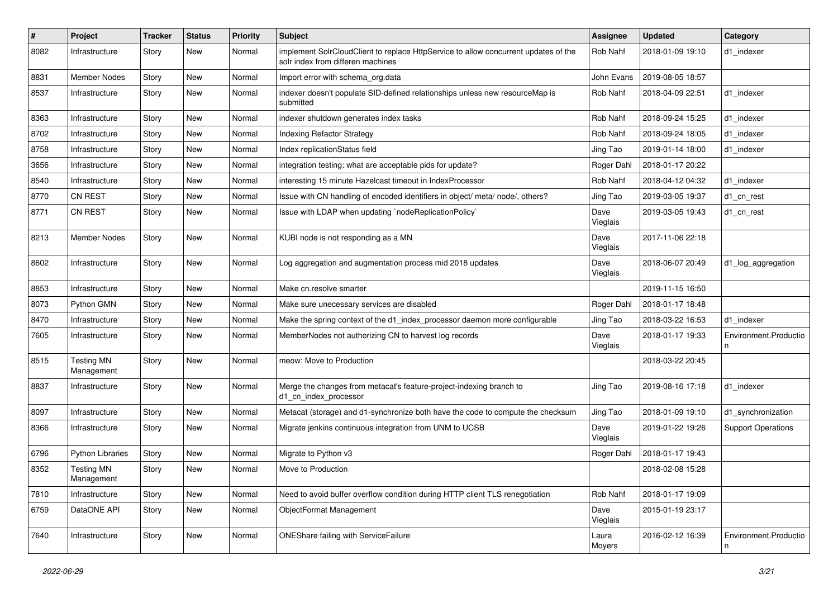| $\vert$ # | Project                         | <b>Tracker</b> | <b>Status</b> | <b>Priority</b> | Subject                                                                                                                  | <b>Assignee</b>  | <b>Updated</b>   | Category                   |
|-----------|---------------------------------|----------------|---------------|-----------------|--------------------------------------------------------------------------------------------------------------------------|------------------|------------------|----------------------------|
| 8082      | Infrastructure                  | Story          | New           | Normal          | implement SolrCloudClient to replace HttpService to allow concurrent updates of the<br>solr index from differen machines | Rob Nahf         | 2018-01-09 19:10 | d1 indexer                 |
| 8831      | <b>Member Nodes</b>             | Story          | New           | Normal          | Import error with schema_org.data                                                                                        | John Evans       | 2019-08-05 18:57 |                            |
| 8537      | Infrastructure                  | Story          | New           | Normal          | indexer doesn't populate SID-defined relationships unless new resourceMap is<br>submitted                                | Rob Nahf         | 2018-04-09 22:51 | d1 indexer                 |
| 8363      | Infrastructure                  | Story          | New           | Normal          | indexer shutdown generates index tasks                                                                                   | Rob Nahf         | 2018-09-24 15:25 | d1_indexer                 |
| 8702      | Infrastructure                  | Story          | New           | Normal          | <b>Indexing Refactor Strategy</b>                                                                                        | Rob Nahf         | 2018-09-24 18:05 | d1 indexer                 |
| 8758      | Infrastructure                  | Story          | New           | Normal          | Index replicationStatus field                                                                                            | Jing Tao         | 2019-01-14 18:00 | d1 indexer                 |
| 3656      | Infrastructure                  | Story          | New           | Normal          | integration testing: what are acceptable pids for update?                                                                | Roger Dahl       | 2018-01-17 20:22 |                            |
| 8540      | Infrastructure                  | Story          | New           | Normal          | interesting 15 minute Hazelcast timeout in IndexProcessor                                                                | Rob Nahf         | 2018-04-12 04:32 | d1_indexer                 |
| 8770      | <b>CN REST</b>                  | Story          | New           | Normal          | Issue with CN handling of encoded identifiers in object/ meta/ node/, others?                                            | Jing Tao         | 2019-03-05 19:37 | d1_cn_rest                 |
| 8771      | <b>CN REST</b>                  | Story          | New           | Normal          | Issue with LDAP when updating `nodeReplicationPolicy`                                                                    | Dave<br>Vieglais | 2019-03-05 19:43 | d1_cn_rest                 |
| 8213      | Member Nodes                    | Story          | New           | Normal          | KUBI node is not responding as a MN                                                                                      | Dave<br>Vieglais | 2017-11-06 22:18 |                            |
| 8602      | Infrastructure                  | Story          | New           | Normal          | Log aggregation and augmentation process mid 2018 updates                                                                | Dave<br>Vieglais | 2018-06-07 20:49 | d1_log_aggregation         |
| 8853      | Infrastructure                  | Story          | New           | Normal          | Make cn.resolve smarter                                                                                                  |                  | 2019-11-15 16:50 |                            |
| 8073      | Python GMN                      | Story          | New           | Normal          | Make sure unecessary services are disabled                                                                               | Roger Dahl       | 2018-01-17 18:48 |                            |
| 8470      | Infrastructure                  | Story          | New           | Normal          | Make the spring context of the d1_index_processor daemon more configurable                                               | Jing Tao         | 2018-03-22 16:53 | d1_indexer                 |
| 7605      | Infrastructure                  | Story          | New           | Normal          | MemberNodes not authorizing CN to harvest log records                                                                    | Dave<br>Vieglais | 2018-01-17 19:33 | Environment.Productio<br>n |
| 8515      | <b>Testing MN</b><br>Management | Story          | New           | Normal          | meow: Move to Production                                                                                                 |                  | 2018-03-22 20:45 |                            |
| 8837      | Infrastructure                  | Story          | New           | Normal          | Merge the changes from metacat's feature-project-indexing branch to<br>d1_cn_index_processor                             | Jing Tao         | 2019-08-16 17:18 | d1_indexer                 |
| 8097      | Infrastructure                  | Story          | New           | Normal          | Metacat (storage) and d1-synchronize both have the code to compute the checksum                                          | Jing Tao         | 2018-01-09 19:10 | d1 synchronization         |
| 8366      | Infrastructure                  | Story          | New           | Normal          | Migrate jenkins continuous integration from UNM to UCSB                                                                  | Dave<br>Vieglais | 2019-01-22 19:26 | <b>Support Operations</b>  |
| 6796      | <b>Python Libraries</b>         | Story          | New           | Normal          | Migrate to Python v3                                                                                                     | Roger Dahl       | 2018-01-17 19:43 |                            |
| 8352      | <b>Testing MN</b><br>Management | Story          | New           | Normal          | Move to Production                                                                                                       |                  | 2018-02-08 15:28 |                            |
| 7810      | Infrastructure                  | Story          | New           | Normal          | Need to avoid buffer overflow condition during HTTP client TLS renegotiation                                             | Rob Nahf         | 2018-01-17 19:09 |                            |
| 6759      | DataONE API                     | Story          | New           | Normal          | ObjectFormat Management                                                                                                  | Dave<br>Vieglais | 2015-01-19 23:17 |                            |
| 7640      | Infrastructure                  | Story          | New           | Normal          | <b>ONEShare failing with ServiceFailure</b>                                                                              | Laura<br>Moyers  | 2016-02-12 16:39 | Environment.Productio      |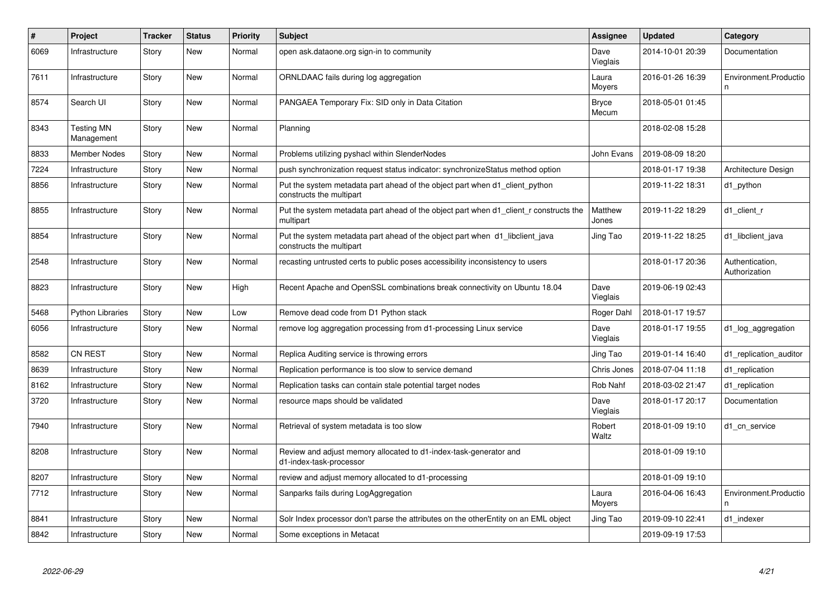| $\vert$ # | Project                         | <b>Tracker</b> | <b>Status</b> | <b>Priority</b> | <b>Subject</b>                                                                                           | <b>Assignee</b>       | <b>Updated</b>   | Category                         |
|-----------|---------------------------------|----------------|---------------|-----------------|----------------------------------------------------------------------------------------------------------|-----------------------|------------------|----------------------------------|
| 6069      | Infrastructure                  | Story          | <b>New</b>    | Normal          | open ask.dataone.org sign-in to community                                                                | Dave<br>Vieglais      | 2014-10-01 20:39 | Documentation                    |
| 7611      | Infrastructure                  | Story          | <b>New</b>    | Normal          | ORNLDAAC fails during log aggregation                                                                    | Laura<br>Moyers       | 2016-01-26 16:39 | Environment.Productio<br>n       |
| 8574      | Search UI                       | Story          | <b>New</b>    | Normal          | PANGAEA Temporary Fix: SID only in Data Citation                                                         | <b>Bryce</b><br>Mecum | 2018-05-01 01:45 |                                  |
| 8343      | <b>Testing MN</b><br>Management | Story          | <b>New</b>    | Normal          | Planning                                                                                                 |                       | 2018-02-08 15:28 |                                  |
| 8833      | <b>Member Nodes</b>             | Story          | <b>New</b>    | Normal          | Problems utilizing pyshacl within SlenderNodes                                                           | John Evans            | 2019-08-09 18:20 |                                  |
| 7224      | Infrastructure                  | Story          | <b>New</b>    | Normal          | push synchronization request status indicator: synchronizeStatus method option                           |                       | 2018-01-17 19:38 | Architecture Design              |
| 8856      | Infrastructure                  | Story          | <b>New</b>    | Normal          | Put the system metadata part ahead of the object part when d1_client_python<br>constructs the multipart  |                       | 2019-11-22 18:31 | d1_python                        |
| 8855      | Infrastructure                  | Story          | <b>New</b>    | Normal          | Put the system metadata part ahead of the object part when d1_client_r constructs the<br>multipart       | Matthew<br>Jones      | 2019-11-22 18:29 | d1_client_r                      |
| 8854      | Infrastructure                  | Story          | <b>New</b>    | Normal          | Put the system metadata part ahead of the object part when d1 libclient java<br>constructs the multipart | Jing Tao              | 2019-11-22 18:25 | d1 libclient java                |
| 2548      | Infrastructure                  | Story          | New           | Normal          | recasting untrusted certs to public poses accessibility inconsistency to users                           |                       | 2018-01-17 20:36 | Authentication,<br>Authorization |
| 8823      | Infrastructure                  | Story          | New           | High            | Recent Apache and OpenSSL combinations break connectivity on Ubuntu 18.04                                | Dave<br>Vieglais      | 2019-06-19 02:43 |                                  |
| 5468      | <b>Python Libraries</b>         | Story          | New           | Low             | Remove dead code from D1 Python stack                                                                    | Roger Dahl            | 2018-01-17 19:57 |                                  |
| 6056      | Infrastructure                  | Story          | New           | Normal          | remove log aggregation processing from d1-processing Linux service                                       | Dave<br>Vieglais      | 2018-01-17 19:55 | d1_log_aggregation               |
| 8582      | <b>CN REST</b>                  | Story          | <b>New</b>    | Normal          | Replica Auditing service is throwing errors                                                              | Jing Tao              | 2019-01-14 16:40 | d1 replication auditor           |
| 8639      | Infrastructure                  | Story          | <b>New</b>    | Normal          | Replication performance is too slow to service demand                                                    | Chris Jones           | 2018-07-04 11:18 | d1_replication                   |
| 8162      | Infrastructure                  | Story          | <b>New</b>    | Normal          | Replication tasks can contain stale potential target nodes                                               | Rob Nahf              | 2018-03-02 21:47 | d1 replication                   |
| 3720      | Infrastructure                  | Story          | <b>New</b>    | Normal          | resource maps should be validated                                                                        | Dave<br>Vieglais      | 2018-01-17 20:17 | Documentation                    |
| 7940      | Infrastructure                  | Story          | New           | Normal          | Retrieval of system metadata is too slow                                                                 | Robert<br>Waltz       | 2018-01-09 19:10 | d1_cn_service                    |
| 8208      | Infrastructure                  | Story          | New           | Normal          | Review and adjust memory allocated to d1-index-task-generator and<br>d1-index-task-processor             |                       | 2018-01-09 19:10 |                                  |
| 8207      | Infrastructure                  | Story          | <b>New</b>    | Normal          | review and adjust memory allocated to d1-processing                                                      |                       | 2018-01-09 19:10 |                                  |
| 7712      | Infrastructure                  | Story          | New           | Normal          | Sanparks fails during LogAggregation                                                                     | Laura<br>Moyers       | 2016-04-06 16:43 | Environment.Productio<br>n       |
| 8841      | Infrastructure                  | Story          | <b>New</b>    | Normal          | Solr Index processor don't parse the attributes on the otherEntity on an EML object                      | Jing Tao              | 2019-09-10 22:41 | d1_indexer                       |
| 8842      | Infrastructure                  | Story          | <b>New</b>    | Normal          | Some exceptions in Metacat                                                                               |                       | 2019-09-19 17:53 |                                  |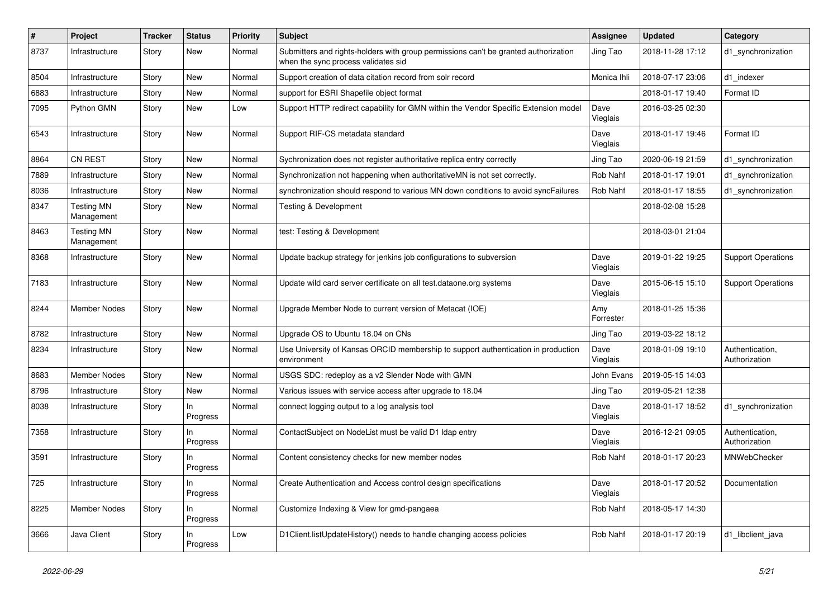| ∦    | Project                         | Tracker | <b>Status</b>   | <b>Priority</b> | <b>Subject</b>                                                                                                             | <b>Assignee</b>  | <b>Updated</b>   | Category                         |
|------|---------------------------------|---------|-----------------|-----------------|----------------------------------------------------------------------------------------------------------------------------|------------------|------------------|----------------------------------|
| 8737 | Infrastructure                  | Story   | New             | Normal          | Submitters and rights-holders with group permissions can't be granted authorization<br>when the sync process validates sid | Jing Tao         | 2018-11-28 17:12 | d1_synchronization               |
| 8504 | Infrastructure                  | Story   | New             | Normal          | Support creation of data citation record from solr record                                                                  | Monica Ihli      | 2018-07-17 23:06 | d1_indexer                       |
| 6883 | Infrastructure                  | Story   | New             | Normal          | support for ESRI Shapefile object format                                                                                   |                  | 2018-01-17 19:40 | Format ID                        |
| 7095 | Python GMN                      | Story   | <b>New</b>      | Low             | Support HTTP redirect capability for GMN within the Vendor Specific Extension model                                        | Dave<br>Vieglais | 2016-03-25 02:30 |                                  |
| 6543 | Infrastructure                  | Story   | New             | Normal          | Support RIF-CS metadata standard                                                                                           | Dave<br>Vieglais | 2018-01-17 19:46 | Format ID                        |
| 8864 | <b>CN REST</b>                  | Story   | <b>New</b>      | Normal          | Sychronization does not register authoritative replica entry correctly                                                     | Jing Tao         | 2020-06-19 21:59 | d1_synchronization               |
| 7889 | Infrastructure                  | Story   | <b>New</b>      | Normal          | Synchronization not happening when authoritativeMN is not set correctly.                                                   | Rob Nahf         | 2018-01-17 19:01 | d1_synchronization               |
| 8036 | Infrastructure                  | Story   | New             | Normal          | synchronization should respond to various MN down conditions to avoid syncFailures                                         | <b>Rob Nahf</b>  | 2018-01-17 18:55 | d1_synchronization               |
| 8347 | <b>Testing MN</b><br>Management | Story   | New             | Normal          | <b>Testing &amp; Development</b>                                                                                           |                  | 2018-02-08 15:28 |                                  |
| 8463 | <b>Testing MN</b><br>Management | Story   | New             | Normal          | test: Testing & Development                                                                                                |                  | 2018-03-01 21:04 |                                  |
| 8368 | Infrastructure                  | Story   | <b>New</b>      | Normal          | Update backup strategy for jenkins job configurations to subversion                                                        | Dave<br>Vieglais | 2019-01-22 19:25 | <b>Support Operations</b>        |
| 7183 | Infrastructure                  | Story   | <b>New</b>      | Normal          | Update wild card server certificate on all test.dataone.org systems                                                        | Dave<br>Vieglais | 2015-06-15 15:10 | <b>Support Operations</b>        |
| 8244 | <b>Member Nodes</b>             | Story   | New             | Normal          | Upgrade Member Node to current version of Metacat (IOE)                                                                    | Amy<br>Forrester | 2018-01-25 15:36 |                                  |
| 8782 | Infrastructure                  | Story   | New             | Normal          | Upgrade OS to Ubuntu 18.04 on CNs                                                                                          | Jing Tao         | 2019-03-22 18:12 |                                  |
| 8234 | Infrastructure                  | Story   | New             | Normal          | Use University of Kansas ORCID membership to support authentication in production<br>environment                           | Dave<br>Vieglais | 2018-01-09 19:10 | Authentication,<br>Authorization |
| 8683 | <b>Member Nodes</b>             | Story   | New             | Normal          | USGS SDC: redeploy as a v2 Slender Node with GMN                                                                           | John Evans       | 2019-05-15 14:03 |                                  |
| 8796 | Infrastructure                  | Story   | New             | Normal          | Various issues with service access after upgrade to 18.04                                                                  | Jing Tao         | 2019-05-21 12:38 |                                  |
| 8038 | Infrastructure                  | Story   | In.<br>Progress | Normal          | connect logging output to a log analysis tool                                                                              | Dave<br>Vieglais | 2018-01-17 18:52 | d1_synchronization               |
| 7358 | Infrastructure                  | Story   | ln.<br>Progress | Normal          | ContactSubject on NodeList must be valid D1 Idap entry                                                                     | Dave<br>Vieglais | 2016-12-21 09:05 | Authentication,<br>Authorization |
| 3591 | Infrastructure                  | Story   | In<br>Progress  | Normal          | Content consistency checks for new member nodes                                                                            | <b>Rob Nahf</b>  | 2018-01-17 20:23 | <b>MNWebChecker</b>              |
| 725  | Infrastructure                  | Story   | In<br>Progress  | Normal          | Create Authentication and Access control design specifications                                                             | Dave<br>Vieglais | 2018-01-17 20:52 | Documentation                    |
| 8225 | Member Nodes                    | Story   | In.<br>Progress | Normal          | Customize Indexing & View for gmd-pangaea                                                                                  | Rob Nahf         | 2018-05-17 14:30 |                                  |
| 3666 | Java Client                     | Story   | In<br>Progress  | Low             | D1Client.listUpdateHistory() needs to handle changing access policies                                                      | Rob Nahf         | 2018-01-17 20:19 | d1 libclient java                |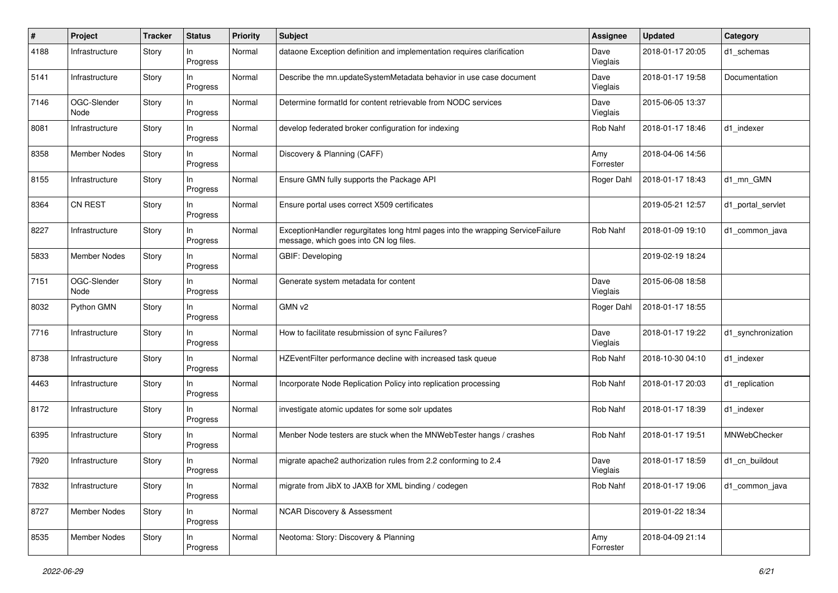| #    | Project             | <b>Tracker</b> | <b>Status</b>   | <b>Priority</b> | Subject                                                                                                                  | <b>Assignee</b>  | <b>Updated</b>   | Category           |
|------|---------------------|----------------|-----------------|-----------------|--------------------------------------------------------------------------------------------------------------------------|------------------|------------------|--------------------|
| 4188 | Infrastructure      | Story          | ln.<br>Progress | Normal          | dataone Exception definition and implementation requires clarification                                                   | Dave<br>Vieglais | 2018-01-17 20:05 | d1 schemas         |
| 5141 | Infrastructure      | Story          | In<br>Progress  | Normal          | Describe the mn.updateSystemMetadata behavior in use case document                                                       | Dave<br>Vieglais | 2018-01-17 19:58 | Documentation      |
| 7146 | OGC-Slender<br>Node | Story          | ln.<br>Progress | Normal          | Determine formatId for content retrievable from NODC services                                                            | Dave<br>Vieglais | 2015-06-05 13:37 |                    |
| 8081 | Infrastructure      | Story          | In<br>Progress  | Normal          | develop federated broker configuration for indexing                                                                      | Rob Nahf         | 2018-01-17 18:46 | d1 indexer         |
| 8358 | <b>Member Nodes</b> | Story          | ln.<br>Progress | Normal          | Discovery & Planning (CAFF)                                                                                              | Amy<br>Forrester | 2018-04-06 14:56 |                    |
| 8155 | Infrastructure      | Story          | In<br>Progress  | Normal          | Ensure GMN fully supports the Package API                                                                                | Roger Dahl       | 2018-01-17 18:43 | d1 mn GMN          |
| 8364 | <b>CN REST</b>      | Story          | ln.<br>Progress | Normal          | Ensure portal uses correct X509 certificates                                                                             |                  | 2019-05-21 12:57 | d1 portal servlet  |
| 8227 | Infrastructure      | Story          | In<br>Progress  | Normal          | ExceptionHandler regurgitates long html pages into the wrapping ServiceFailure<br>message, which goes into CN log files. | Rob Nahf         | 2018-01-09 19:10 | d1 common java     |
| 5833 | <b>Member Nodes</b> | Story          | In<br>Progress  | Normal          | <b>GBIF: Developing</b>                                                                                                  |                  | 2019-02-19 18:24 |                    |
| 7151 | OGC-Slender<br>Node | Story          | In<br>Progress  | Normal          | Generate system metadata for content                                                                                     | Dave<br>Vieglais | 2015-06-08 18:58 |                    |
| 8032 | Python GMN          | Story          | In<br>Progress  | Normal          | GMN v2                                                                                                                   | Roger Dahl       | 2018-01-17 18:55 |                    |
| 7716 | Infrastructure      | Story          | In<br>Progress  | Normal          | How to facilitate resubmission of sync Failures?                                                                         | Dave<br>Vieglais | 2018-01-17 19:22 | d1_synchronization |
| 8738 | Infrastructure      | Story          | ln.<br>Progress | Normal          | HZEventFilter performance decline with increased task queue                                                              | Rob Nahf         | 2018-10-30 04:10 | d1 indexer         |
| 4463 | Infrastructure      | Story          | ln.<br>Progress | Normal          | Incorporate Node Replication Policy into replication processing                                                          | Rob Nahf         | 2018-01-17 20:03 | d1 replication     |
| 8172 | Infrastructure      | Story          | In<br>Progress  | Normal          | investigate atomic updates for some solr updates                                                                         | Rob Nahf         | 2018-01-17 18:39 | d1 indexer         |
| 6395 | Infrastructure      | Story          | ln.<br>Progress | Normal          | Menber Node testers are stuck when the MNWebTester hangs / crashes                                                       | Rob Nahf         | 2018-01-17 19:51 | MNWebChecker       |
| 7920 | Infrastructure      | Story          | In<br>Progress  | Normal          | migrate apache2 authorization rules from 2.2 conforming to 2.4                                                           | Dave<br>Vieglais | 2018-01-17 18:59 | d1 cn buildout     |
| 7832 | Infrastructure      | Story          | In.<br>Progress | Normal          | migrate from JibX to JAXB for XML binding / codegen                                                                      | Rob Nahf         | 2018-01-17 19:06 | d1 common java     |
| 8727 | <b>Member Nodes</b> | Story          | In<br>Progress  | Normal          | <b>NCAR Discovery &amp; Assessment</b>                                                                                   |                  | 2019-01-22 18:34 |                    |
| 8535 | Member Nodes        | Story          | In<br>Progress  | Normal          | Neotoma: Story: Discovery & Planning                                                                                     | Amy<br>Forrester | 2018-04-09 21:14 |                    |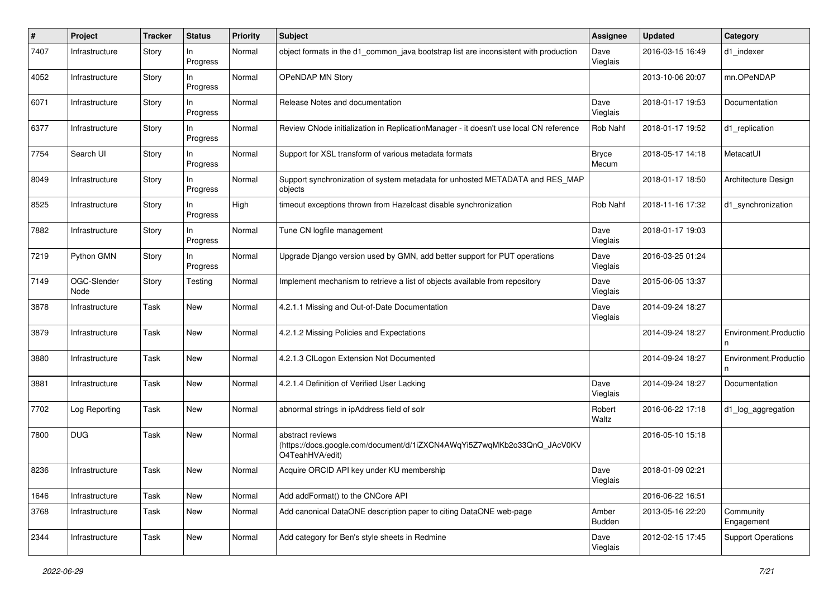| $\#$ | Project             | <b>Tracker</b> | <b>Status</b>     | <b>Priority</b> | Subject                                                                                                        | <b>Assignee</b>        | <b>Updated</b>   | Category                  |
|------|---------------------|----------------|-------------------|-----------------|----------------------------------------------------------------------------------------------------------------|------------------------|------------------|---------------------------|
| 7407 | Infrastructure      | Story          | In.<br>Progress   | Normal          | object formats in the d1_common_java bootstrap list are inconsistent with production                           | Dave<br>Vieglais       | 2016-03-15 16:49 | d1 indexer                |
| 4052 | Infrastructure      | Story          | In<br>Progress    | Normal          | OPeNDAP MN Story                                                                                               |                        | 2013-10-06 20:07 | mn.OPeNDAP                |
| 6071 | Infrastructure      | Story          | $\ln$<br>Progress | Normal          | Release Notes and documentation                                                                                | Dave<br>Vieglais       | 2018-01-17 19:53 | Documentation             |
| 6377 | Infrastructure      | Story          | $\ln$<br>Progress | Normal          | Review CNode initialization in ReplicationManager - it doesn't use local CN reference                          | Rob Nahf               | 2018-01-17 19:52 | d1_replication            |
| 7754 | Search UI           | Story          | In<br>Progress    | Normal          | Support for XSL transform of various metadata formats                                                          | <b>Bryce</b><br>Mecum  | 2018-05-17 14:18 | MetacatUI                 |
| 8049 | Infrastructure      | Story          | In<br>Progress    | Normal          | Support synchronization of system metadata for unhosted METADATA and RES_MAP<br>objects                        |                        | 2018-01-17 18:50 | Architecture Design       |
| 8525 | Infrastructure      | Story          | In.<br>Progress   | High            | timeout exceptions thrown from Hazelcast disable synchronization                                               | Rob Nahf               | 2018-11-16 17:32 | d1 synchronization        |
| 7882 | Infrastructure      | Story          | In<br>Progress    | Normal          | Tune CN logfile management                                                                                     | Dave<br>Vieglais       | 2018-01-17 19:03 |                           |
| 7219 | Python GMN          | Story          | In<br>Progress    | Normal          | Upgrade Django version used by GMN, add better support for PUT operations                                      | Dave<br>Vieglais       | 2016-03-25 01:24 |                           |
| 7149 | OGC-Slender<br>Node | Story          | Testing           | Normal          | Implement mechanism to retrieve a list of objects available from repository                                    | Dave<br>Vieglais       | 2015-06-05 13:37 |                           |
| 3878 | Infrastructure      | Task           | <b>New</b>        | Normal          | 4.2.1.1 Missing and Out-of-Date Documentation                                                                  | Dave<br>Vieglais       | 2014-09-24 18:27 |                           |
| 3879 | Infrastructure      | Task           | <b>New</b>        | Normal          | 4.2.1.2 Missing Policies and Expectations                                                                      |                        | 2014-09-24 18:27 | Environment.Productio     |
| 3880 | Infrastructure      | Task           | New               | Normal          | 4.2.1.3 CILogon Extension Not Documented                                                                       |                        | 2014-09-24 18:27 | Environment.Productio     |
| 3881 | Infrastructure      | Task           | New               | Normal          | 4.2.1.4 Definition of Verified User Lacking                                                                    | Dave<br>Vieglais       | 2014-09-24 18:27 | Documentation             |
| 7702 | Log Reporting       | Task           | New               | Normal          | abnormal strings in ipAddress field of solr                                                                    | Robert<br>Waltz        | 2016-06-22 17:18 | d1_log_aggregation        |
| 7800 | <b>DUG</b>          | Task           | New               | Normal          | abstract reviews<br>(https://docs.google.com/document/d/1iZXCN4AWqYi5Z7wqMKb2o33QnQ_JAcV0KV<br>O4TeahHVA/edit) |                        | 2016-05-10 15:18 |                           |
| 8236 | Infrastructure      | Task           | <b>New</b>        | Normal          | Acquire ORCID API key under KU membership                                                                      | Dave<br>Vieglais       | 2018-01-09 02:21 |                           |
| 1646 | Infrastructure      | Task           | New               | Normal          | Add addFormat() to the CNCore API                                                                              |                        | 2016-06-22 16:51 |                           |
| 3768 | Infrastructure      | Task           | New               | Normal          | Add canonical DataONE description paper to citing DataONE web-page                                             | Amber<br><b>Budden</b> | 2013-05-16 22:20 | Community<br>Engagement   |
| 2344 | Infrastructure      | Task           | New               | Normal          | Add category for Ben's style sheets in Redmine                                                                 | Dave<br>Vieglais       | 2012-02-15 17:45 | <b>Support Operations</b> |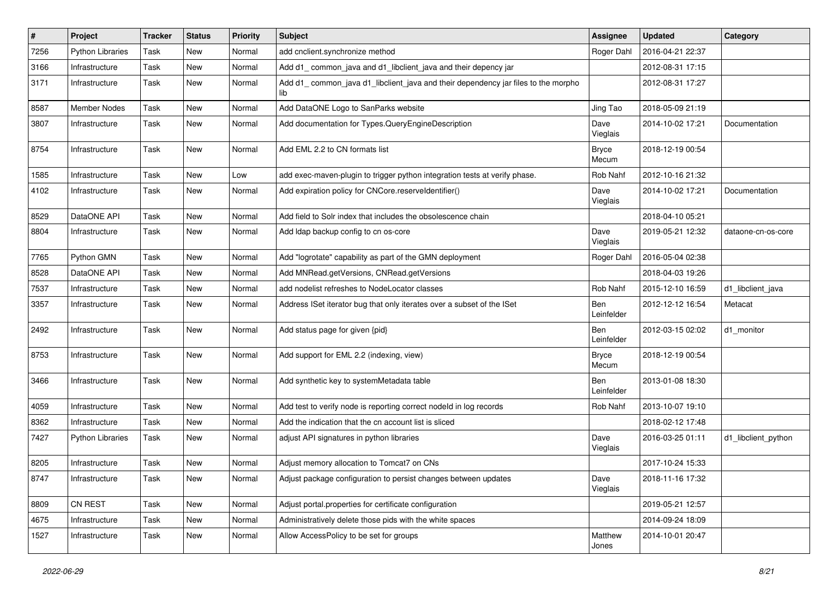| $\#$ | Project                 | <b>Tracker</b> | <b>Status</b> | <b>Priority</b> | <b>Subject</b>                                                                           | <b>Assignee</b>       | <b>Updated</b>   | Category            |
|------|-------------------------|----------------|---------------|-----------------|------------------------------------------------------------------------------------------|-----------------------|------------------|---------------------|
| 7256 | <b>Python Libraries</b> | Task           | New           | Normal          | add cnclient.synchronize method                                                          | Roger Dahl            | 2016-04-21 22:37 |                     |
| 3166 | Infrastructure          | Task           | New           | Normal          | Add d1_common_java and d1_libclient_java and their depency jar                           |                       | 2012-08-31 17:15 |                     |
| 3171 | Infrastructure          | Task           | New           | Normal          | Add d1_common_java d1_libclient_java and their dependency jar files to the morpho<br>lib |                       | 2012-08-31 17:27 |                     |
| 8587 | <b>Member Nodes</b>     | Task           | New           | Normal          | Add DataONE Logo to SanParks website                                                     | Jing Tao              | 2018-05-09 21:19 |                     |
| 3807 | Infrastructure          | Task           | New           | Normal          | Add documentation for Types.QueryEngineDescription                                       | Dave<br>Vieglais      | 2014-10-02 17:21 | Documentation       |
| 8754 | Infrastructure          | Task           | New           | Normal          | Add EML 2.2 to CN formats list                                                           | <b>Bryce</b><br>Mecum | 2018-12-19 00:54 |                     |
| 1585 | Infrastructure          | Task           | New           | Low             | add exec-maven-plugin to trigger python integration tests at verify phase.               | Rob Nahf              | 2012-10-16 21:32 |                     |
| 4102 | Infrastructure          | Task           | New           | Normal          | Add expiration policy for CNCore.reserveldentifier()                                     | Dave<br>Vieglais      | 2014-10-02 17:21 | Documentation       |
| 8529 | DataONE API             | Task           | New           | Normal          | Add field to Solr index that includes the obsolescence chain                             |                       | 2018-04-10 05:21 |                     |
| 8804 | Infrastructure          | Task           | New           | Normal          | Add Idap backup config to cn os-core                                                     | Dave<br>Vieglais      | 2019-05-21 12:32 | dataone-cn-os-core  |
| 7765 | Python GMN              | Task           | New           | Normal          | Add "logrotate" capability as part of the GMN deployment                                 | Roger Dahl            | 2016-05-04 02:38 |                     |
| 8528 | DataONE API             | Task           | New           | Normal          | Add MNRead.getVersions, CNRead.getVersions                                               |                       | 2018-04-03 19:26 |                     |
| 7537 | Infrastructure          | Task           | New           | Normal          | add nodelist refreshes to NodeLocator classes                                            | Rob Nahf              | 2015-12-10 16:59 | d1_libclient_java   |
| 3357 | Infrastructure          | Task           | New           | Normal          | Address ISet iterator bug that only iterates over a subset of the ISet                   | Ben<br>Leinfelder     | 2012-12-12 16:54 | Metacat             |
| 2492 | Infrastructure          | Task           | New           | Normal          | Add status page for given {pid}                                                          | Ben<br>Leinfelder     | 2012-03-15 02:02 | d1_monitor          |
| 8753 | Infrastructure          | Task           | New           | Normal          | Add support for EML 2.2 (indexing, view)                                                 | <b>Bryce</b><br>Mecum | 2018-12-19 00:54 |                     |
| 3466 | Infrastructure          | Task           | New           | Normal          | Add synthetic key to systemMetadata table                                                | Ben<br>Leinfelder     | 2013-01-08 18:30 |                     |
| 4059 | Infrastructure          | Task           | New           | Normal          | Add test to verify node is reporting correct nodeld in log records                       | Rob Nahf              | 2013-10-07 19:10 |                     |
| 8362 | Infrastructure          | Task           | New           | Normal          | Add the indication that the cn account list is sliced                                    |                       | 2018-02-12 17:48 |                     |
| 7427 | <b>Python Libraries</b> | Task           | New           | Normal          | adjust API signatures in python libraries                                                | Dave<br>Vieglais      | 2016-03-25 01:11 | d1_libclient_python |
| 8205 | Infrastructure          | Task           | New           | Normal          | Adjust memory allocation to Tomcat7 on CNs                                               |                       | 2017-10-24 15:33 |                     |
| 8747 | Infrastructure          | Task           | New           | Normal          | Adjust package configuration to persist changes between updates                          | Dave<br>Vieglais      | 2018-11-16 17:32 |                     |
| 8809 | CN REST                 | Task           | New           | Normal          | Adjust portal properties for certificate configuration                                   |                       | 2019-05-21 12:57 |                     |
| 4675 | Infrastructure          | Task           | New           | Normal          | Administratively delete those pids with the white spaces                                 |                       | 2014-09-24 18:09 |                     |
| 1527 | Infrastructure          | Task           | New           | Normal          | Allow AccessPolicy to be set for groups                                                  | Matthew<br>Jones      | 2014-10-01 20:47 |                     |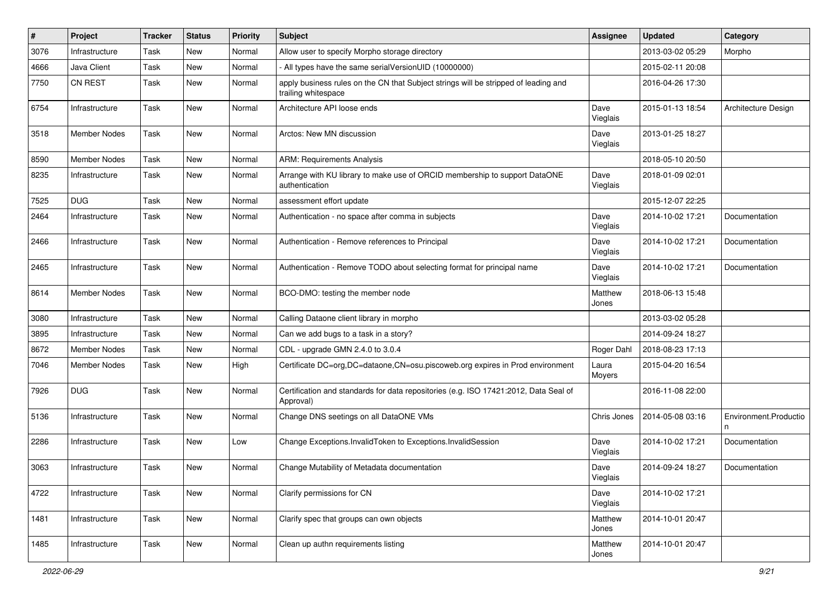| #    | Project             | <b>Tracker</b> | <b>Status</b> | <b>Priority</b> | <b>Subject</b>                                                                                             | <b>Assignee</b>  | <b>Updated</b>   | Category              |
|------|---------------------|----------------|---------------|-----------------|------------------------------------------------------------------------------------------------------------|------------------|------------------|-----------------------|
| 3076 | Infrastructure      | Task           | New           | Normal          | Allow user to specify Morpho storage directory                                                             |                  | 2013-03-02 05:29 | Morpho                |
| 4666 | Java Client         | Task           | New           | Normal          | All types have the same serialVersionUID (10000000)                                                        |                  | 2015-02-11 20:08 |                       |
| 7750 | CN REST             | Task           | New           | Normal          | apply business rules on the CN that Subject strings will be stripped of leading and<br>trailing whitespace |                  | 2016-04-26 17:30 |                       |
| 6754 | Infrastructure      | Task           | New           | Normal          | Architecture API loose ends                                                                                | Dave<br>Vieglais | 2015-01-13 18:54 | Architecture Design   |
| 3518 | <b>Member Nodes</b> | Task           | New           | Normal          | Arctos: New MN discussion                                                                                  | Dave<br>Vieglais | 2013-01-25 18:27 |                       |
| 8590 | <b>Member Nodes</b> | Task           | New           | Normal          | <b>ARM: Requirements Analysis</b>                                                                          |                  | 2018-05-10 20:50 |                       |
| 8235 | Infrastructure      | Task           | New           | Normal          | Arrange with KU library to make use of ORCID membership to support DataONE<br>authentication               | Dave<br>Vieglais | 2018-01-09 02:01 |                       |
| 7525 | <b>DUG</b>          | Task           | New           | Normal          | assessment effort update                                                                                   |                  | 2015-12-07 22:25 |                       |
| 2464 | Infrastructure      | Task           | New           | Normal          | Authentication - no space after comma in subjects                                                          | Dave<br>Vieglais | 2014-10-02 17:21 | Documentation         |
| 2466 | Infrastructure      | Task           | New           | Normal          | Authentication - Remove references to Principal                                                            | Dave<br>Vieglais | 2014-10-02 17:21 | Documentation         |
| 2465 | Infrastructure      | Task           | New           | Normal          | Authentication - Remove TODO about selecting format for principal name                                     | Dave<br>Vieglais | 2014-10-02 17:21 | Documentation         |
| 8614 | Member Nodes        | Task           | New           | Normal          | BCO-DMO: testing the member node                                                                           | Matthew<br>Jones | 2018-06-13 15:48 |                       |
| 3080 | Infrastructure      | Task           | New           | Normal          | Calling Dataone client library in morpho                                                                   |                  | 2013-03-02 05:28 |                       |
| 3895 | Infrastructure      | Task           | New           | Normal          | Can we add bugs to a task in a story?                                                                      |                  | 2014-09-24 18:27 |                       |
| 8672 | Member Nodes        | Task           | New           | Normal          | CDL - upgrade GMN 2.4.0 to 3.0.4                                                                           | Roger Dahl       | 2018-08-23 17:13 |                       |
| 7046 | Member Nodes        | Task           | New           | High            | Certificate DC=org,DC=dataone,CN=osu.piscoweb.org expires in Prod environment                              | Laura<br>Moyers  | 2015-04-20 16:54 |                       |
| 7926 | <b>DUG</b>          | Task           | New           | Normal          | Certification and standards for data repositories (e.g. ISO 17421:2012, Data Seal of<br>Approval)          |                  | 2016-11-08 22:00 |                       |
| 5136 | Infrastructure      | Task           | New           | Normal          | Change DNS seetings on all DataONE VMs                                                                     | Chris Jones      | 2014-05-08 03:16 | Environment.Productio |
| 2286 | Infrastructure      | Task           | New           | Low             | Change Exceptions.InvalidToken to Exceptions.InvalidSession                                                | Dave<br>Vieglais | 2014-10-02 17:21 | Documentation         |
| 3063 | Infrastructure      | Task           | New           | Normal          | Change Mutability of Metadata documentation                                                                | Dave<br>Vieglais | 2014-09-24 18:27 | Documentation         |
| 4722 | Infrastructure      | Task           | New           | Normal          | Clarify permissions for CN                                                                                 | Dave<br>Vieglais | 2014-10-02 17:21 |                       |
| 1481 | Infrastructure      | Task           | New           | Normal          | Clarify spec that groups can own objects                                                                   | Matthew<br>Jones | 2014-10-01 20:47 |                       |
| 1485 | Infrastructure      | Task           | New           | Normal          | Clean up authn requirements listing                                                                        | Matthew<br>Jones | 2014-10-01 20:47 |                       |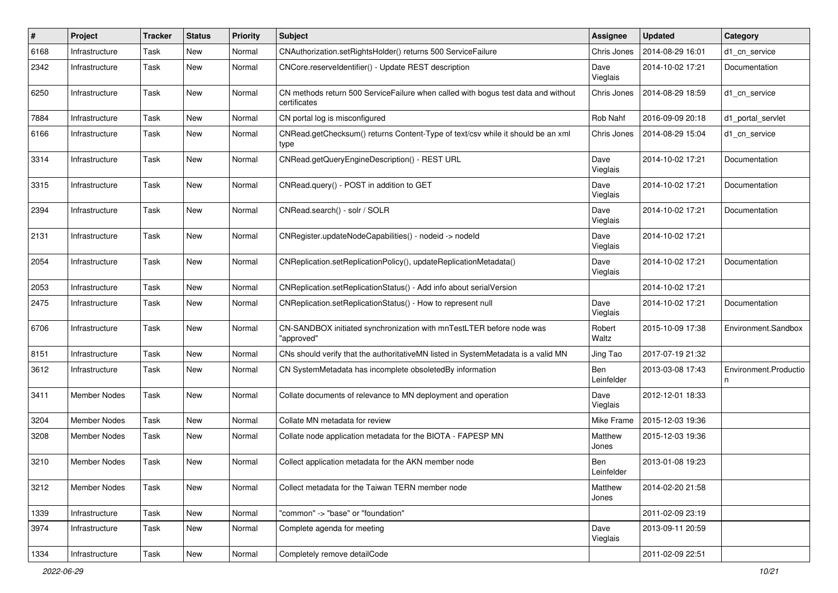| $\#$ | Project             | <b>Tracker</b> | <b>Status</b> | <b>Priority</b> | Subject                                                                                           | <b>Assignee</b>   | <b>Updated</b>   | Category                   |
|------|---------------------|----------------|---------------|-----------------|---------------------------------------------------------------------------------------------------|-------------------|------------------|----------------------------|
| 6168 | Infrastructure      | Task           | New           | Normal          | CNAuthorization.setRightsHolder() returns 500 ServiceFailure                                      | Chris Jones       | 2014-08-29 16:01 | d1 cn service              |
| 2342 | Infrastructure      | Task           | New           | Normal          | CNCore.reserveldentifier() - Update REST description                                              | Dave<br>Vieglais  | 2014-10-02 17:21 | Documentation              |
| 6250 | Infrastructure      | Task           | New           | Normal          | CN methods return 500 ServiceFailure when called with bogus test data and without<br>certificates | Chris Jones       | 2014-08-29 18:59 | d1_cn_service              |
| 7884 | Infrastructure      | Task           | New           | Normal          | CN portal log is misconfigured                                                                    | Rob Nahf          | 2016-09-09 20:18 | d1_portal_servlet          |
| 6166 | Infrastructure      | Task           | New           | Normal          | CNRead.getChecksum() returns Content-Type of text/csv while it should be an xml<br>type           | Chris Jones       | 2014-08-29 15:04 | d1 cn service              |
| 3314 | Infrastructure      | Task           | New           | Normal          | CNRead.getQueryEngineDescription() - REST URL                                                     | Dave<br>Vieglais  | 2014-10-02 17:21 | Documentation              |
| 3315 | Infrastructure      | Task           | New           | Normal          | CNRead.query() - POST in addition to GET                                                          | Dave<br>Vieglais  | 2014-10-02 17:21 | Documentation              |
| 2394 | Infrastructure      | Task           | New           | Normal          | CNRead.search() - solr / SOLR                                                                     | Dave<br>Vieglais  | 2014-10-02 17:21 | Documentation              |
| 2131 | Infrastructure      | Task           | New           | Normal          | CNRegister.updateNodeCapabilities() - nodeid -> nodeld                                            | Dave<br>Vieglais  | 2014-10-02 17:21 |                            |
| 2054 | Infrastructure      | Task           | New           | Normal          | CNReplication.setReplicationPolicy(), updateReplicationMetadata()                                 | Dave<br>Vieglais  | 2014-10-02 17:21 | Documentation              |
| 2053 | Infrastructure      | Task           | New           | Normal          | CNReplication.setReplicationStatus() - Add info about serialVersion                               |                   | 2014-10-02 17:21 |                            |
| 2475 | Infrastructure      | Task           | New           | Normal          | CNReplication.setReplicationStatus() - How to represent null                                      | Dave<br>Vieglais  | 2014-10-02 17:21 | Documentation              |
| 6706 | Infrastructure      | Task           | New           | Normal          | CN-SANDBOX initiated synchronization with mnTestLTER before node was<br>"approved"                | Robert<br>Waltz   | 2015-10-09 17:38 | Environment.Sandbox        |
| 8151 | Infrastructure      | Task           | New           | Normal          | CNs should verify that the authoritativeMN listed in SystemMetadata is a valid MN                 | Jing Tao          | 2017-07-19 21:32 |                            |
| 3612 | Infrastructure      | Task           | New           | Normal          | CN SystemMetadata has incomplete obsoletedBy information                                          | Ben<br>Leinfelder | 2013-03-08 17:43 | Environment.Productio<br>n |
| 3411 | <b>Member Nodes</b> | Task           | New           | Normal          | Collate documents of relevance to MN deployment and operation                                     | Dave<br>Vieglais  | 2012-12-01 18:33 |                            |
| 3204 | <b>Member Nodes</b> | Task           | New           | Normal          | Collate MN metadata for review                                                                    | Mike Frame        | 2015-12-03 19:36 |                            |
| 3208 | Member Nodes        | Task           | New           | Normal          | Collate node application metadata for the BIOTA - FAPESP MN                                       | Matthew<br>Jones  | 2015-12-03 19:36 |                            |
| 3210 | <b>Member Nodes</b> | Task           | New           | Normal          | Collect application metadata for the AKN member node                                              | Ben<br>Leinfelder | 2013-01-08 19:23 |                            |
| 3212 | <b>Member Nodes</b> | Task           | New           | Normal          | Collect metadata for the Taiwan TERN member node                                                  | Matthew<br>Jones  | 2014-02-20 21:58 |                            |
| 1339 | Infrastructure      | Task           | New           | Normal          | "common" -> "base" or "foundation"                                                                |                   | 2011-02-09 23:19 |                            |
| 3974 | Infrastructure      | Task           | New           | Normal          | Complete agenda for meeting                                                                       | Dave<br>Vieglais  | 2013-09-11 20:59 |                            |
| 1334 | Infrastructure      | Task           | New           | Normal          | Completely remove detailCode                                                                      |                   | 2011-02-09 22:51 |                            |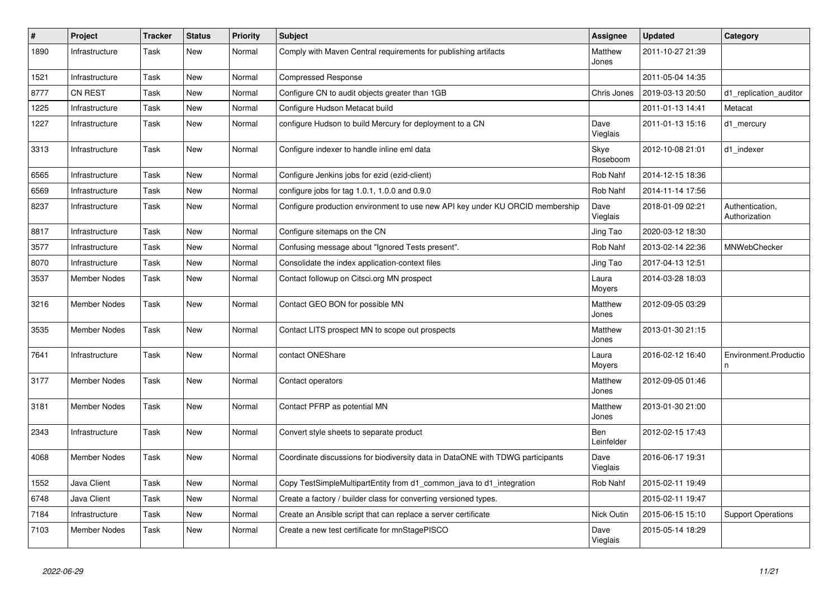| $\#$ | Project             | <b>Tracker</b> | <b>Status</b> | <b>Priority</b> | <b>Subject</b>                                                                 | <b>Assignee</b>   | <b>Updated</b>   | Category                         |
|------|---------------------|----------------|---------------|-----------------|--------------------------------------------------------------------------------|-------------------|------------------|----------------------------------|
| 1890 | Infrastructure      | Task           | New           | Normal          | Comply with Maven Central requirements for publishing artifacts                | Matthew<br>Jones  | 2011-10-27 21:39 |                                  |
| 1521 | Infrastructure      | Task           | New           | Normal          | <b>Compressed Response</b>                                                     |                   | 2011-05-04 14:35 |                                  |
| 8777 | CN REST             | Task           | New           | Normal          | Configure CN to audit objects greater than 1GB                                 | Chris Jones       | 2019-03-13 20:50 | d1_replication_auditor           |
| 1225 | Infrastructure      | Task           | New           | Normal          | Configure Hudson Metacat build                                                 |                   | 2011-01-13 14:41 | Metacat                          |
| 1227 | Infrastructure      | Task           | New           | Normal          | configure Hudson to build Mercury for deployment to a CN                       | Dave<br>Vieglais  | 2011-01-13 15:16 | d1_mercury                       |
| 3313 | Infrastructure      | Task           | New           | Normal          | Configure indexer to handle inline eml data                                    | Skye<br>Roseboom  | 2012-10-08 21:01 | d1 indexer                       |
| 6565 | Infrastructure      | Task           | New           | Normal          | Configure Jenkins jobs for ezid (ezid-client)                                  | Rob Nahf          | 2014-12-15 18:36 |                                  |
| 6569 | Infrastructure      | Task           | New           | Normal          | configure jobs for tag 1.0.1, 1.0.0 and 0.9.0                                  | Rob Nahf          | 2014-11-14 17:56 |                                  |
| 8237 | Infrastructure      | Task           | New           | Normal          | Configure production environment to use new API key under KU ORCID membership  | Dave<br>Vieglais  | 2018-01-09 02:21 | Authentication,<br>Authorization |
| 8817 | Infrastructure      | Task           | New           | Normal          | Configure sitemaps on the CN                                                   | Jing Tao          | 2020-03-12 18:30 |                                  |
| 3577 | Infrastructure      | Task           | New           | Normal          | Confusing message about "Ignored Tests present".                               | Rob Nahf          | 2013-02-14 22:36 | <b>MNWebChecker</b>              |
| 8070 | Infrastructure      | Task           | <b>New</b>    | Normal          | Consolidate the index application-context files                                | Jing Tao          | 2017-04-13 12:51 |                                  |
| 3537 | <b>Member Nodes</b> | Task           | New           | Normal          | Contact followup on Citsci.org MN prospect                                     | Laura<br>Moyers   | 2014-03-28 18:03 |                                  |
| 3216 | <b>Member Nodes</b> | Task           | <b>New</b>    | Normal          | Contact GEO BON for possible MN                                                | Matthew<br>Jones  | 2012-09-05 03:29 |                                  |
| 3535 | <b>Member Nodes</b> | Task           | New           | Normal          | Contact LITS prospect MN to scope out prospects                                | Matthew<br>Jones  | 2013-01-30 21:15 |                                  |
| 7641 | Infrastructure      | Task           | New           | Normal          | contact ONEShare                                                               | Laura<br>Moyers   | 2016-02-12 16:40 | Environment.Productio            |
| 3177 | <b>Member Nodes</b> | Task           | New           | Normal          | Contact operators                                                              | Matthew<br>Jones  | 2012-09-05 01:46 |                                  |
| 3181 | Member Nodes        | Task           | <b>New</b>    | Normal          | Contact PFRP as potential MN                                                   | Matthew<br>Jones  | 2013-01-30 21:00 |                                  |
| 2343 | Infrastructure      | Task           | New           | Normal          | Convert style sheets to separate product                                       | Ben<br>Leinfelder | 2012-02-15 17:43 |                                  |
| 4068 | <b>Member Nodes</b> | Task           | New           | Normal          | Coordinate discussions for biodiversity data in DataONE with TDWG participants | Dave<br>Vieglais  | 2016-06-17 19:31 |                                  |
| 1552 | Java Client         | Task           | <b>New</b>    | Normal          | Copy TestSimpleMultipartEntity from d1_common_java to d1_integration           | Rob Nahf          | 2015-02-11 19:49 |                                  |
| 6748 | Java Client         | Task           | <b>New</b>    | Normal          | Create a factory / builder class for converting versioned types.               |                   | 2015-02-11 19:47 |                                  |
| 7184 | Infrastructure      | Task           | New           | Normal          | Create an Ansible script that can replace a server certificate                 | Nick Outin        | 2015-06-15 15:10 | <b>Support Operations</b>        |
| 7103 | <b>Member Nodes</b> | Task           | New           | Normal          | Create a new test certificate for mnStagePISCO                                 | Dave<br>Vieglais  | 2015-05-14 18:29 |                                  |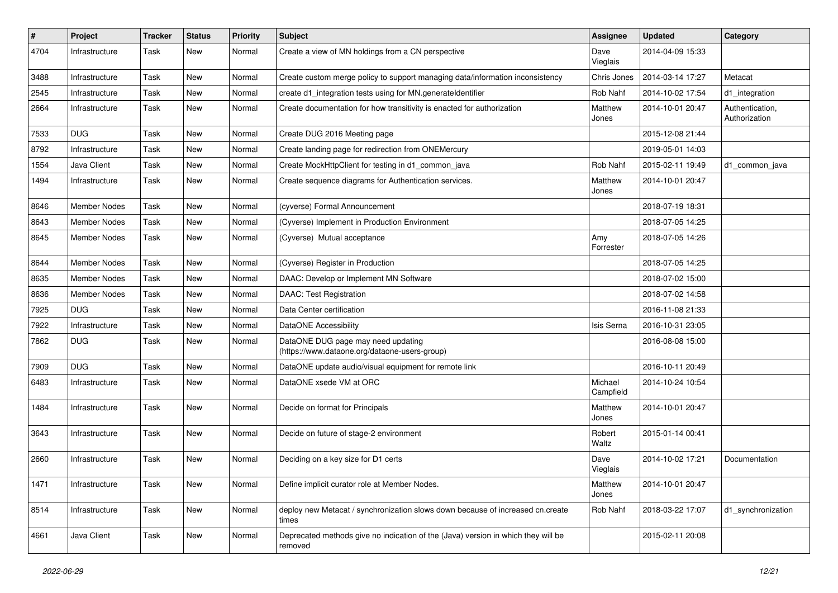| #    | Project             | <b>Tracker</b> | <b>Status</b> | <b>Priority</b> | Subject                                                                                      | <b>Assignee</b>      | <b>Updated</b>   | Category                         |
|------|---------------------|----------------|---------------|-----------------|----------------------------------------------------------------------------------------------|----------------------|------------------|----------------------------------|
| 4704 | Infrastructure      | Task           | New           | Normal          | Create a view of MN holdings from a CN perspective                                           | Dave<br>Vieglais     | 2014-04-09 15:33 |                                  |
| 3488 | Infrastructure      | Task           | New           | Normal          | Create custom merge policy to support managing data/information inconsistency                | Chris Jones          | 2014-03-14 17:27 | Metacat                          |
| 2545 | Infrastructure      | Task           | New           | Normal          | create d1_integration tests using for MN.generateIdentifier                                  | Rob Nahf             | 2014-10-02 17:54 | d1_integration                   |
| 2664 | Infrastructure      | Task           | New           | Normal          | Create documentation for how transitivity is enacted for authorization                       | Matthew<br>Jones     | 2014-10-01 20:47 | Authentication,<br>Authorization |
| 7533 | <b>DUG</b>          | Task           | New           | Normal          | Create DUG 2016 Meeting page                                                                 |                      | 2015-12-08 21:44 |                                  |
| 8792 | Infrastructure      | Task           | New           | Normal          | Create landing page for redirection from ONEMercury                                          |                      | 2019-05-01 14:03 |                                  |
| 1554 | Java Client         | Task           | New           | Normal          | Create MockHttpClient for testing in d1_common_java                                          | Rob Nahf             | 2015-02-11 19:49 | d1_common_java                   |
| 1494 | Infrastructure      | Task           | New           | Normal          | Create sequence diagrams for Authentication services.                                        | Matthew<br>Jones     | 2014-10-01 20:47 |                                  |
| 8646 | <b>Member Nodes</b> | Task           | New           | Normal          | (cyverse) Formal Announcement                                                                |                      | 2018-07-19 18:31 |                                  |
| 8643 | <b>Member Nodes</b> | Task           | New           | Normal          | (Cyverse) Implement in Production Environment                                                |                      | 2018-07-05 14:25 |                                  |
| 8645 | <b>Member Nodes</b> | Task           | New           | Normal          | (Cyverse) Mutual acceptance                                                                  | Amy<br>Forrester     | 2018-07-05 14:26 |                                  |
| 8644 | <b>Member Nodes</b> | Task           | New           | Normal          | (Cyverse) Register in Production                                                             |                      | 2018-07-05 14:25 |                                  |
| 8635 | <b>Member Nodes</b> | Task           | New           | Normal          | DAAC: Develop or Implement MN Software                                                       |                      | 2018-07-02 15:00 |                                  |
| 8636 | <b>Member Nodes</b> | Task           | New           | Normal          | <b>DAAC: Test Registration</b>                                                               |                      | 2018-07-02 14:58 |                                  |
| 7925 | <b>DUG</b>          | Task           | New           | Normal          | Data Center certification                                                                    |                      | 2016-11-08 21:33 |                                  |
| 7922 | Infrastructure      | Task           | New           | Normal          | DataONE Accessibility                                                                        | Isis Serna           | 2016-10-31 23:05 |                                  |
| 7862 | <b>DUG</b>          | Task           | New           | Normal          | DataONE DUG page may need updating<br>(https://www.dataone.org/dataone-users-group)          |                      | 2016-08-08 15:00 |                                  |
| 7909 | <b>DUG</b>          | Task           | New           | Normal          | DataONE update audio/visual equipment for remote link                                        |                      | 2016-10-11 20:49 |                                  |
| 6483 | Infrastructure      | Task           | New           | Normal          | DataONE xsede VM at ORC                                                                      | Michael<br>Campfield | 2014-10-24 10:54 |                                  |
| 1484 | Infrastructure      | Task           | New           | Normal          | Decide on format for Principals                                                              | Matthew<br>Jones     | 2014-10-01 20:47 |                                  |
| 3643 | Infrastructure      | Task           | New           | Normal          | Decide on future of stage-2 environment                                                      | Robert<br>Waltz      | 2015-01-14 00:41 |                                  |
| 2660 | Infrastructure      | Task           | New           | Normal          | Deciding on a key size for D1 certs                                                          | Dave<br>Vieglais     | 2014-10-02 17:21 | Documentation                    |
| 1471 | Infrastructure      | Task           | New           | Normal          | Define implicit curator role at Member Nodes.                                                | Matthew<br>Jones     | 2014-10-01 20:47 |                                  |
| 8514 | Infrastructure      | Task           | New           | Normal          | deploy new Metacat / synchronization slows down because of increased cn.create<br>times      | Rob Nahf             | 2018-03-22 17:07 | d1_synchronization               |
| 4661 | Java Client         | Task           | New           | Normal          | Deprecated methods give no indication of the (Java) version in which they will be<br>removed |                      | 2015-02-11 20:08 |                                  |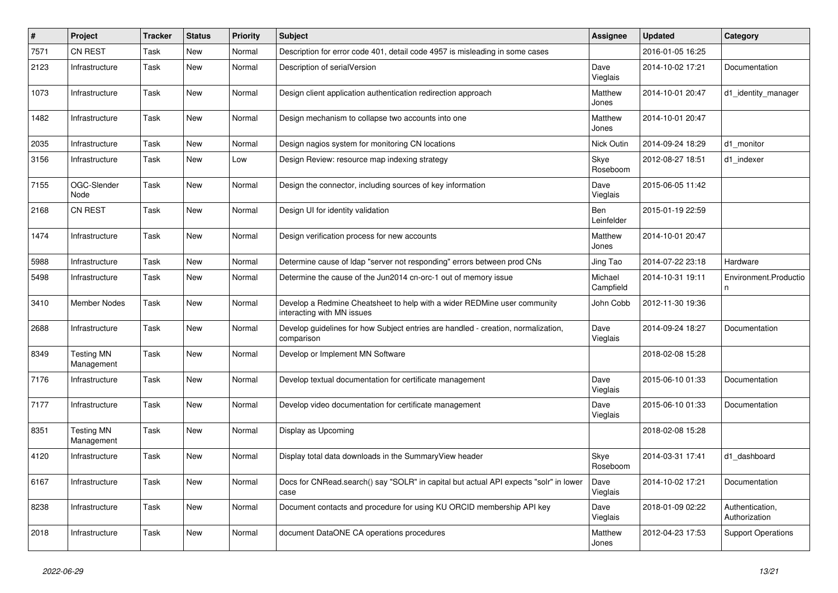| $\#$ | Project                         | Tracker | <b>Status</b> | <b>Priority</b> | <b>Subject</b>                                                                                         | Assignee                 | <b>Updated</b>   | Category                         |
|------|---------------------------------|---------|---------------|-----------------|--------------------------------------------------------------------------------------------------------|--------------------------|------------------|----------------------------------|
| 7571 | CN REST                         | Task    | New           | Normal          | Description for error code 401, detail code 4957 is misleading in some cases                           |                          | 2016-01-05 16:25 |                                  |
| 2123 | Infrastructure                  | Task    | New           | Normal          | Description of serialVersion                                                                           | Dave<br>Vieglais         | 2014-10-02 17:21 | Documentation                    |
| 1073 | Infrastructure                  | Task    | New           | Normal          | Design client application authentication redirection approach                                          | Matthew<br>Jones         | 2014-10-01 20:47 | d1_identity_manager              |
| 1482 | Infrastructure                  | Task    | New           | Normal          | Design mechanism to collapse two accounts into one                                                     | Matthew<br>Jones         | 2014-10-01 20:47 |                                  |
| 2035 | Infrastructure                  | Task    | New           | Normal          | Design nagios system for monitoring CN locations                                                       | Nick Outin               | 2014-09-24 18:29 | d1 monitor                       |
| 3156 | Infrastructure                  | Task    | New           | Low             | Design Review: resource map indexing strategy                                                          | Skye<br>Roseboom         | 2012-08-27 18:51 | d1 indexer                       |
| 7155 | OGC-Slender<br>Node             | Task    | New           | Normal          | Design the connector, including sources of key information                                             | Dave<br>Vieglais         | 2015-06-05 11:42 |                                  |
| 2168 | <b>CN REST</b>                  | Task    | New           | Normal          | Design UI for identity validation                                                                      | <b>Ben</b><br>Leinfelder | 2015-01-19 22:59 |                                  |
| 1474 | Infrastructure                  | Task    | New           | Normal          | Design verification process for new accounts                                                           | Matthew<br>Jones         | 2014-10-01 20:47 |                                  |
| 5988 | Infrastructure                  | Task    | New           | Normal          | Determine cause of Idap "server not responding" errors between prod CNs                                | Jing Tao                 | 2014-07-22 23:18 | Hardware                         |
| 5498 | Infrastructure                  | Task    | New           | Normal          | Determine the cause of the Jun2014 cn-orc-1 out of memory issue                                        | Michael<br>Campfield     | 2014-10-31 19:11 | Environment.Productio<br>n       |
| 3410 | Member Nodes                    | Task    | New           | Normal          | Develop a Redmine Cheatsheet to help with a wider REDMine user community<br>interacting with MN issues | John Cobb                | 2012-11-30 19:36 |                                  |
| 2688 | Infrastructure                  | Task    | New           | Normal          | Develop guidelines for how Subject entries are handled - creation, normalization,<br>comparison        | Dave<br>Vieglais         | 2014-09-24 18:27 | Documentation                    |
| 8349 | <b>Testing MN</b><br>Management | Task    | New           | Normal          | Develop or Implement MN Software                                                                       |                          | 2018-02-08 15:28 |                                  |
| 7176 | Infrastructure                  | Task    | New           | Normal          | Develop textual documentation for certificate management                                               | Dave<br>Vieglais         | 2015-06-10 01:33 | Documentation                    |
| 7177 | Infrastructure                  | Task    | New           | Normal          | Develop video documentation for certificate management                                                 | Dave<br>Vieglais         | 2015-06-10 01:33 | Documentation                    |
| 8351 | <b>Testing MN</b><br>Management | Task    | New           | Normal          | Display as Upcoming                                                                                    |                          | 2018-02-08 15:28 |                                  |
| 4120 | Infrastructure                  | Task    | New           | Normal          | Display total data downloads in the Summary View header                                                | Skye<br>Roseboom         | 2014-03-31 17:41 | d1 dashboard                     |
| 6167 | Infrastructure                  | Task    | New           | Normal          | Docs for CNRead.search() say "SOLR" in capital but actual API expects "solr" in lower<br>case          | Dave<br>Vieglais         | 2014-10-02 17:21 | Documentation                    |
| 8238 | Infrastructure                  | Task    | New           | Normal          | Document contacts and procedure for using KU ORCID membership API key                                  | Dave<br>Vieglais         | 2018-01-09 02:22 | Authentication,<br>Authorization |
| 2018 | Infrastructure                  | Task    | New           | Normal          | document DataONE CA operations procedures                                                              | Matthew<br>Jones         | 2012-04-23 17:53 | <b>Support Operations</b>        |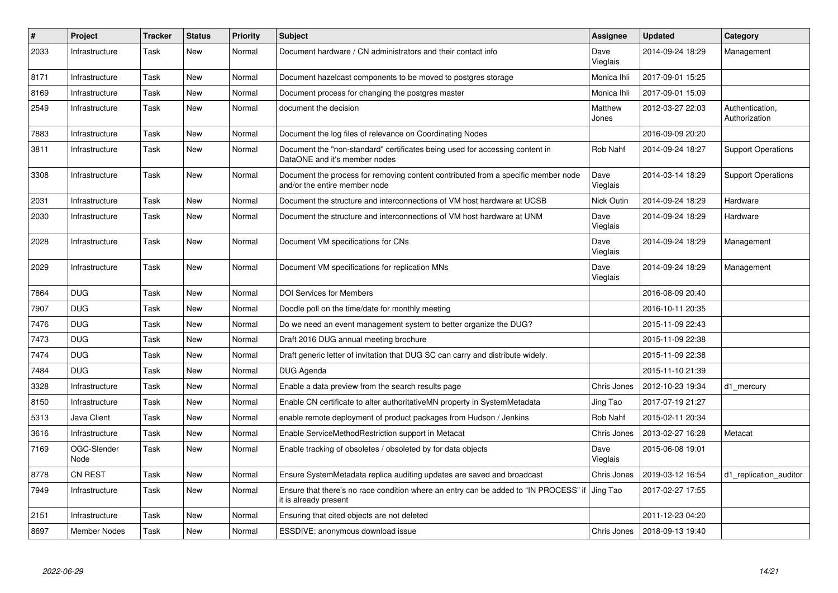| $\vert$ # | Project             | Tracker | <b>Status</b> | <b>Priority</b> | <b>Subject</b>                                                                                                     | Assignee         | <b>Updated</b>   | Category                         |
|-----------|---------------------|---------|---------------|-----------------|--------------------------------------------------------------------------------------------------------------------|------------------|------------------|----------------------------------|
| 2033      | Infrastructure      | Task    | <b>New</b>    | Normal          | Document hardware / CN administrators and their contact info                                                       | Dave<br>Vieglais | 2014-09-24 18:29 | Management                       |
| 8171      | Infrastructure      | Task    | New           | Normal          | Document hazelcast components to be moved to postgres storage                                                      | Monica Ihli      | 2017-09-01 15:25 |                                  |
| 8169      | Infrastructure      | Task    | <b>New</b>    | Normal          | Document process for changing the postgres master                                                                  | Monica Ihli      | 2017-09-01 15:09 |                                  |
| 2549      | Infrastructure      | Task    | <b>New</b>    | Normal          | document the decision                                                                                              | Matthew<br>Jones | 2012-03-27 22:03 | Authentication,<br>Authorization |
| 7883      | Infrastructure      | Task    | <b>New</b>    | Normal          | Document the log files of relevance on Coordinating Nodes                                                          |                  | 2016-09-09 20:20 |                                  |
| 3811      | Infrastructure      | Task    | <b>New</b>    | Normal          | Document the "non-standard" certificates being used for accessing content in<br>DataONE and it's member nodes      | Rob Nahf         | 2014-09-24 18:27 | <b>Support Operations</b>        |
| 3308      | Infrastructure      | Task    | <b>New</b>    | Normal          | Document the process for removing content contributed from a specific member node<br>and/or the entire member node | Dave<br>Vieglais | 2014-03-14 18:29 | <b>Support Operations</b>        |
| 2031      | Infrastructure      | Task    | <b>New</b>    | Normal          | Document the structure and interconnections of VM host hardware at UCSB                                            | Nick Outin       | 2014-09-24 18:29 | Hardware                         |
| 2030      | Infrastructure      | Task    | New           | Normal          | Document the structure and interconnections of VM host hardware at UNM                                             | Dave<br>Vieglais | 2014-09-24 18:29 | Hardware                         |
| 2028      | Infrastructure      | Task    | <b>New</b>    | Normal          | Document VM specifications for CNs                                                                                 | Dave<br>Vieglais | 2014-09-24 18:29 | Management                       |
| 2029      | Infrastructure      | Task    | <b>New</b>    | Normal          | Document VM specifications for replication MNs                                                                     | Dave<br>Vieglais | 2014-09-24 18:29 | Management                       |
| 7864      | <b>DUG</b>          | Task    | <b>New</b>    | Normal          | <b>DOI Services for Members</b>                                                                                    |                  | 2016-08-09 20:40 |                                  |
| 7907      | <b>DUG</b>          | Task    | <b>New</b>    | Normal          | Doodle poll on the time/date for monthly meeting                                                                   |                  | 2016-10-11 20:35 |                                  |
| 7476      | <b>DUG</b>          | Task    | <b>New</b>    | Normal          | Do we need an event management system to better organize the DUG?                                                  |                  | 2015-11-09 22:43 |                                  |
| 7473      | <b>DUG</b>          | Task    | <b>New</b>    | Normal          | Draft 2016 DUG annual meeting brochure                                                                             |                  | 2015-11-09 22:38 |                                  |
| 7474      | <b>DUG</b>          | Task    | <b>New</b>    | Normal          | Draft generic letter of invitation that DUG SC can carry and distribute widely.                                    |                  | 2015-11-09 22:38 |                                  |
| 7484      | <b>DUG</b>          | Task    | <b>New</b>    | Normal          | DUG Agenda                                                                                                         |                  | 2015-11-10 21:39 |                                  |
| 3328      | Infrastructure      | Task    | <b>New</b>    | Normal          | Enable a data preview from the search results page                                                                 | Chris Jones      | 2012-10-23 19:34 | d1_mercury                       |
| 8150      | Infrastructure      | Task    | <b>New</b>    | Normal          | Enable CN certificate to alter authoritativeMN property in SystemMetadata                                          | Jing Tao         | 2017-07-19 21:27 |                                  |
| 5313      | Java Client         | Task    | <b>New</b>    | Normal          | enable remote deployment of product packages from Hudson / Jenkins                                                 | Rob Nahf         | 2015-02-11 20:34 |                                  |
| 3616      | Infrastructure      | Task    | <b>New</b>    | Normal          | Enable ServiceMethodRestriction support in Metacat                                                                 | Chris Jones      | 2013-02-27 16:28 | Metacat                          |
| 7169      | OGC-Slender<br>Node | Task    | <b>New</b>    | Normal          | Enable tracking of obsoletes / obsoleted by for data objects                                                       | Dave<br>Vieglais | 2015-06-08 19:01 |                                  |
| 8778      | <b>CN REST</b>      | Task    | <b>New</b>    | Normal          | Ensure SystemMetadata replica auditing updates are saved and broadcast                                             | Chris Jones      | 2019-03-12 16:54 | d1 replication auditor           |
| 7949      | Infrastructure      | Task    | <b>New</b>    | Normal          | Ensure that there's no race condition where an entry can be added to "IN PROCESS" i<br>it is already present       | Jing Tao         | 2017-02-27 17:55 |                                  |
| 2151      | Infrastructure      | Task    | <b>New</b>    | Normal          | Ensuring that cited objects are not deleted                                                                        |                  | 2011-12-23 04:20 |                                  |
| 8697      | <b>Member Nodes</b> | Task    | <b>New</b>    | Normal          | ESSDIVE: anonymous download issue                                                                                  | Chris Jones      | 2018-09-13 19:40 |                                  |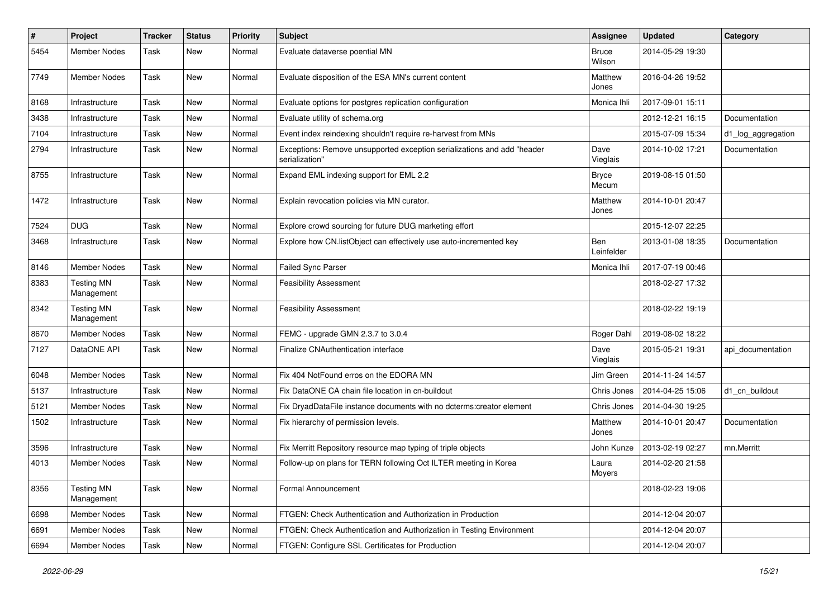| $\#$ | Project                         | Tracker | <b>Status</b> | <b>Priority</b> | Subject                                                                                   | <b>Assignee</b>        | <b>Updated</b>   | Category           |
|------|---------------------------------|---------|---------------|-----------------|-------------------------------------------------------------------------------------------|------------------------|------------------|--------------------|
| 5454 | <b>Member Nodes</b>             | Task    | New           | Normal          | Evaluate dataverse poential MN                                                            | <b>Bruce</b><br>Wilson | 2014-05-29 19:30 |                    |
| 7749 | Member Nodes                    | Task    | New           | Normal          | Evaluate disposition of the ESA MN's current content                                      | Matthew<br>Jones       | 2016-04-26 19:52 |                    |
| 8168 | Infrastructure                  | Task    | New           | Normal          | Evaluate options for postgres replication configuration                                   | Monica Ihli            | 2017-09-01 15:11 |                    |
| 3438 | Infrastructure                  | Task    | New           | Normal          | Evaluate utility of schema.org                                                            |                        | 2012-12-21 16:15 | Documentation      |
| 7104 | Infrastructure                  | Task    | New           | Normal          | Event index reindexing shouldn't require re-harvest from MNs                              |                        | 2015-07-09 15:34 | d1_log_aggregation |
| 2794 | Infrastructure                  | Task    | New           | Normal          | Exceptions: Remove unsupported exception serializations and add "header<br>serialization" | Dave<br>Vieglais       | 2014-10-02 17:21 | Documentation      |
| 8755 | Infrastructure                  | Task    | New           | Normal          | Expand EML indexing support for EML 2.2                                                   | <b>Bryce</b><br>Mecum  | 2019-08-15 01:50 |                    |
| 1472 | Infrastructure                  | Task    | New           | Normal          | Explain revocation policies via MN curator.                                               | Matthew<br>Jones       | 2014-10-01 20:47 |                    |
| 7524 | <b>DUG</b>                      | Task    | New           | Normal          | Explore crowd sourcing for future DUG marketing effort                                    |                        | 2015-12-07 22:25 |                    |
| 3468 | Infrastructure                  | Task    | New           | Normal          | Explore how CN.listObject can effectively use auto-incremented key                        | Ben<br>Leinfelder      | 2013-01-08 18:35 | Documentation      |
| 8146 | <b>Member Nodes</b>             | Task    | New           | Normal          | Failed Sync Parser                                                                        | Monica Ihli            | 2017-07-19 00:46 |                    |
| 8383 | <b>Testing MN</b><br>Management | Task    | New           | Normal          | <b>Feasibility Assessment</b>                                                             |                        | 2018-02-27 17:32 |                    |
| 8342 | <b>Testing MN</b><br>Management | Task    | New           | Normal          | <b>Feasibility Assessment</b>                                                             |                        | 2018-02-22 19:19 |                    |
| 8670 | <b>Member Nodes</b>             | Task    | New           | Normal          | FEMC - upgrade GMN 2.3.7 to 3.0.4                                                         | Roger Dahl             | 2019-08-02 18:22 |                    |
| 7127 | DataONE API                     | Task    | New           | Normal          | Finalize CNAuthentication interface                                                       | Dave<br>Vieglais       | 2015-05-21 19:31 | api_documentation  |
| 6048 | <b>Member Nodes</b>             | Task    | New           | Normal          | Fix 404 NotFound erros on the EDORA MN                                                    | Jim Green              | 2014-11-24 14:57 |                    |
| 5137 | Infrastructure                  | Task    | New           | Normal          | Fix DataONE CA chain file location in cn-buildout                                         | Chris Jones            | 2014-04-25 15:06 | d1_cn_buildout     |
| 5121 | <b>Member Nodes</b>             | Task    | New           | Normal          | Fix DryadDataFile instance documents with no dcterms:creator element                      | Chris Jones            | 2014-04-30 19:25 |                    |
| 1502 | Infrastructure                  | Task    | New           | Normal          | Fix hierarchy of permission levels.                                                       | Matthew<br>Jones       | 2014-10-01 20:47 | Documentation      |
| 3596 | Infrastructure                  | Task    | New           | Normal          | Fix Merritt Repository resource map typing of triple objects                              | John Kunze             | 2013-02-19 02:27 | mn.Merritt         |
| 4013 | Member Nodes                    | Task    | New           | Normal          | Follow-up on plans for TERN following Oct ILTER meeting in Korea                          | Laura<br>Moyers        | 2014-02-20 21:58 |                    |
| 8356 | <b>Testing MN</b><br>Management | Task    | New           | Normal          | Formal Announcement                                                                       |                        | 2018-02-23 19:06 |                    |
| 6698 | Member Nodes                    | Task    | New           | Normal          | FTGEN: Check Authentication and Authorization in Production                               |                        | 2014-12-04 20:07 |                    |
| 6691 | Member Nodes                    | Task    | New           | Normal          | FTGEN: Check Authentication and Authorization in Testing Environment                      |                        | 2014-12-04 20:07 |                    |
| 6694 | Member Nodes                    | Task    | New           | Normal          | FTGEN: Configure SSL Certificates for Production                                          |                        | 2014-12-04 20:07 |                    |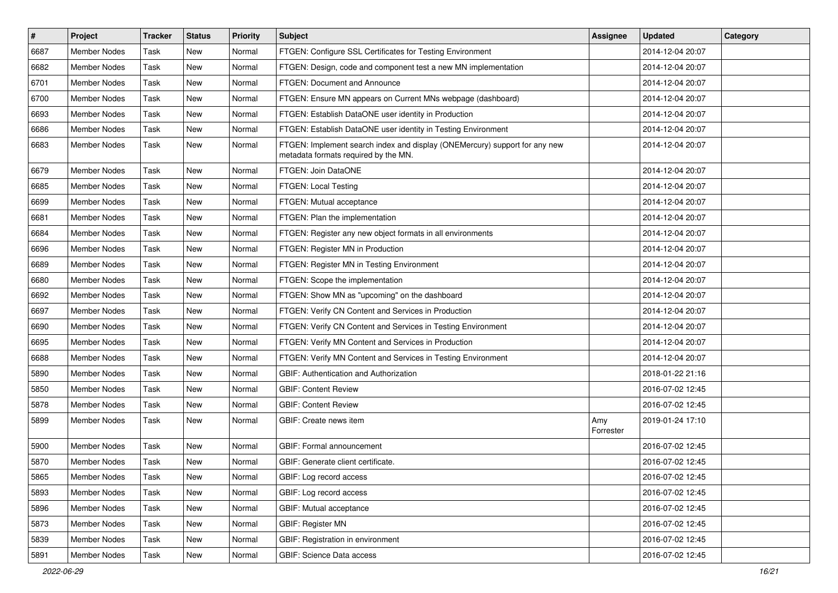| $\vert$ # | Project             | <b>Tracker</b> | <b>Status</b> | <b>Priority</b> | Subject                                                                                                            | <b>Assignee</b>  | <b>Updated</b>   | Category |
|-----------|---------------------|----------------|---------------|-----------------|--------------------------------------------------------------------------------------------------------------------|------------------|------------------|----------|
| 6687      | <b>Member Nodes</b> | Task           | New           | Normal          | FTGEN: Configure SSL Certificates for Testing Environment                                                          |                  | 2014-12-04 20:07 |          |
| 6682      | <b>Member Nodes</b> | Task           | New           | Normal          | FTGEN: Design, code and component test a new MN implementation                                                     |                  | 2014-12-04 20:07 |          |
| 6701      | <b>Member Nodes</b> | Task           | New           | Normal          | FTGEN: Document and Announce                                                                                       |                  | 2014-12-04 20:07 |          |
| 6700      | <b>Member Nodes</b> | Task           | New           | Normal          | FTGEN: Ensure MN appears on Current MNs webpage (dashboard)                                                        |                  | 2014-12-04 20:07 |          |
| 6693      | <b>Member Nodes</b> | Task           | New           | Normal          | FTGEN: Establish DataONE user identity in Production                                                               |                  | 2014-12-04 20:07 |          |
| 6686      | <b>Member Nodes</b> | Task           | New           | Normal          | FTGEN: Establish DataONE user identity in Testing Environment                                                      |                  | 2014-12-04 20:07 |          |
| 6683      | <b>Member Nodes</b> | Task           | New           | Normal          | FTGEN: Implement search index and display (ONEMercury) support for any new<br>metadata formats required by the MN. |                  | 2014-12-04 20:07 |          |
| 6679      | <b>Member Nodes</b> | Task           | New           | Normal          | FTGEN: Join DataONE                                                                                                |                  | 2014-12-04 20:07 |          |
| 6685      | <b>Member Nodes</b> | Task           | <b>New</b>    | Normal          | FTGEN: Local Testing                                                                                               |                  | 2014-12-04 20:07 |          |
| 6699      | <b>Member Nodes</b> | Task           | New           | Normal          | FTGEN: Mutual acceptance                                                                                           |                  | 2014-12-04 20:07 |          |
| 6681      | <b>Member Nodes</b> | Task           | <b>New</b>    | Normal          | FTGEN: Plan the implementation                                                                                     |                  | 2014-12-04 20:07 |          |
| 6684      | <b>Member Nodes</b> | Task           | New           | Normal          | FTGEN: Register any new object formats in all environments                                                         |                  | 2014-12-04 20:07 |          |
| 6696      | <b>Member Nodes</b> | Task           | New           | Normal          | FTGEN: Register MN in Production                                                                                   |                  | 2014-12-04 20:07 |          |
| 6689      | <b>Member Nodes</b> | Task           | New           | Normal          | FTGEN: Register MN in Testing Environment                                                                          |                  | 2014-12-04 20:07 |          |
| 6680      | <b>Member Nodes</b> | Task           | New           | Normal          | FTGEN: Scope the implementation                                                                                    |                  | 2014-12-04 20:07 |          |
| 6692      | <b>Member Nodes</b> | Task           | New           | Normal          | FTGEN: Show MN as "upcoming" on the dashboard                                                                      |                  | 2014-12-04 20:07 |          |
| 6697      | <b>Member Nodes</b> | Task           | New           | Normal          | FTGEN: Verify CN Content and Services in Production                                                                |                  | 2014-12-04 20:07 |          |
| 6690      | <b>Member Nodes</b> | Task           | New           | Normal          | FTGEN: Verify CN Content and Services in Testing Environment                                                       |                  | 2014-12-04 20:07 |          |
| 6695      | <b>Member Nodes</b> | Task           | New           | Normal          | FTGEN: Verify MN Content and Services in Production                                                                |                  | 2014-12-04 20:07 |          |
| 6688      | <b>Member Nodes</b> | Task           | <b>New</b>    | Normal          | FTGEN: Verify MN Content and Services in Testing Environment                                                       |                  | 2014-12-04 20:07 |          |
| 5890      | <b>Member Nodes</b> | Task           | New           | Normal          | <b>GBIF: Authentication and Authorization</b>                                                                      |                  | 2018-01-22 21:16 |          |
| 5850      | <b>Member Nodes</b> | Task           | New           | Normal          | <b>GBIF: Content Review</b>                                                                                        |                  | 2016-07-02 12:45 |          |
| 5878      | Member Nodes        | Task           | New           | Normal          | <b>GBIF: Content Review</b>                                                                                        |                  | 2016-07-02 12:45 |          |
| 5899      | Member Nodes        | Task           | New           | Normal          | GBIF: Create news item                                                                                             | Amy<br>Forrester | 2019-01-24 17:10 |          |
| 5900      | <b>Member Nodes</b> | Task           | New           | Normal          | GBIF: Formal announcement                                                                                          |                  | 2016-07-02 12:45 |          |
| 5870      | <b>Member Nodes</b> | Task           | New           | Normal          | GBIF: Generate client certificate.                                                                                 |                  | 2016-07-02 12:45 |          |
| 5865      | Member Nodes        | Task           | New           | Normal          | GBIF: Log record access                                                                                            |                  | 2016-07-02 12:45 |          |
| 5893      | Member Nodes        | Task           | New           | Normal          | GBIF: Log record access                                                                                            |                  | 2016-07-02 12:45 |          |
| 5896      | Member Nodes        | Task           | New           | Normal          | GBIF: Mutual acceptance                                                                                            |                  | 2016-07-02 12:45 |          |
| 5873      | <b>Member Nodes</b> | Task           | New           | Normal          | GBIF: Register MN                                                                                                  |                  | 2016-07-02 12:45 |          |
| 5839      | Member Nodes        | Task           | New           | Normal          | GBIF: Registration in environment                                                                                  |                  | 2016-07-02 12:45 |          |
| 5891      | Member Nodes        | Task           | New           | Normal          | GBIF: Science Data access                                                                                          |                  | 2016-07-02 12:45 |          |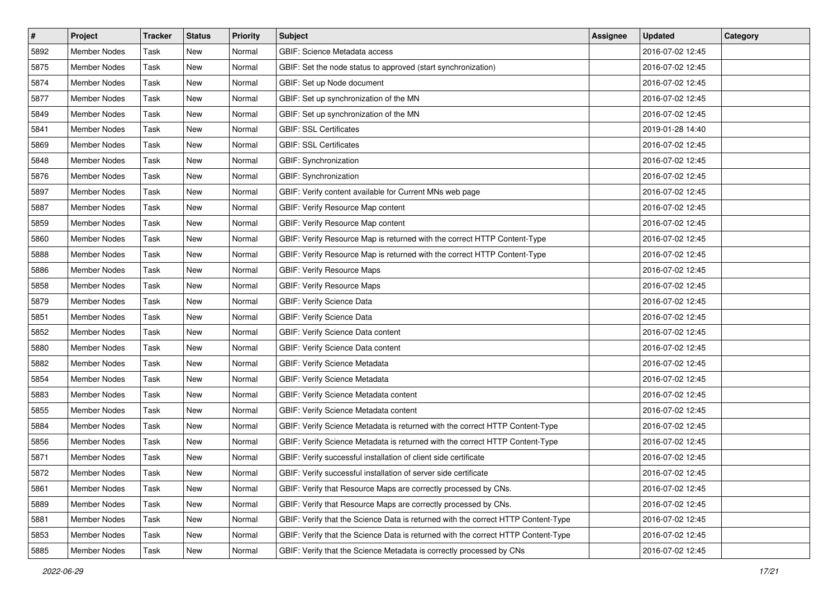| $\vert$ # | Project             | <b>Tracker</b> | <b>Status</b> | <b>Priority</b> | <b>Subject</b>                                                                    | <b>Assignee</b> | <b>Updated</b>   | Category |
|-----------|---------------------|----------------|---------------|-----------------|-----------------------------------------------------------------------------------|-----------------|------------------|----------|
| 5892      | <b>Member Nodes</b> | Task           | New           | Normal          | <b>GBIF: Science Metadata access</b>                                              |                 | 2016-07-02 12:45 |          |
| 5875      | <b>Member Nodes</b> | Task           | New           | Normal          | GBIF: Set the node status to approved (start synchronization)                     |                 | 2016-07-02 12:45 |          |
| 5874      | Member Nodes        | Task           | New           | Normal          | GBIF: Set up Node document                                                        |                 | 2016-07-02 12:45 |          |
| 5877      | Member Nodes        | Task           | New           | Normal          | GBIF: Set up synchronization of the MN                                            |                 | 2016-07-02 12:45 |          |
| 5849      | Member Nodes        | Task           | New           | Normal          | GBIF: Set up synchronization of the MN                                            |                 | 2016-07-02 12:45 |          |
| 5841      | Member Nodes        | Task           | New           | Normal          | <b>GBIF: SSL Certificates</b>                                                     |                 | 2019-01-28 14:40 |          |
| 5869      | Member Nodes        | Task           | New           | Normal          | <b>GBIF: SSL Certificates</b>                                                     |                 | 2016-07-02 12:45 |          |
| 5848      | <b>Member Nodes</b> | Task           | New           | Normal          | GBIF: Synchronization                                                             |                 | 2016-07-02 12:45 |          |
| 5876      | <b>Member Nodes</b> | Task           | New           | Normal          | GBIF: Synchronization                                                             |                 | 2016-07-02 12:45 |          |
| 5897      | Member Nodes        | Task           | New           | Normal          | GBIF: Verify content available for Current MNs web page                           |                 | 2016-07-02 12:45 |          |
| 5887      | Member Nodes        | Task           | New           | Normal          | GBIF: Verify Resource Map content                                                 |                 | 2016-07-02 12:45 |          |
| 5859      | Member Nodes        | Task           | New           | Normal          | <b>GBIF: Verify Resource Map content</b>                                          |                 | 2016-07-02 12:45 |          |
| 5860      | <b>Member Nodes</b> | Task           | New           | Normal          | GBIF: Verify Resource Map is returned with the correct HTTP Content-Type          |                 | 2016-07-02 12:45 |          |
| 5888      | Member Nodes        | Task           | New           | Normal          | GBIF: Verify Resource Map is returned with the correct HTTP Content-Type          |                 | 2016-07-02 12:45 |          |
| 5886      | <b>Member Nodes</b> | Task           | New           | Normal          | <b>GBIF: Verify Resource Maps</b>                                                 |                 | 2016-07-02 12:45 |          |
| 5858      | Member Nodes        | Task           | New           | Normal          | <b>GBIF: Verify Resource Maps</b>                                                 |                 | 2016-07-02 12:45 |          |
| 5879      | Member Nodes        | Task           | New           | Normal          | <b>GBIF: Verify Science Data</b>                                                  |                 | 2016-07-02 12:45 |          |
| 5851      | <b>Member Nodes</b> | Task           | New           | Normal          | <b>GBIF: Verify Science Data</b>                                                  |                 | 2016-07-02 12:45 |          |
| 5852      | Member Nodes        | Task           | New           | Normal          | GBIF: Verify Science Data content                                                 |                 | 2016-07-02 12:45 |          |
| 5880      | <b>Member Nodes</b> | Task           | New           | Normal          | GBIF: Verify Science Data content                                                 |                 | 2016-07-02 12:45 |          |
| 5882      | <b>Member Nodes</b> | Task           | New           | Normal          | GBIF: Verify Science Metadata                                                     |                 | 2016-07-02 12:45 |          |
| 5854      | Member Nodes        | Task           | New           | Normal          | GBIF: Verify Science Metadata                                                     |                 | 2016-07-02 12:45 |          |
| 5883      | Member Nodes        | Task           | New           | Normal          | GBIF: Verify Science Metadata content                                             |                 | 2016-07-02 12:45 |          |
| 5855      | Member Nodes        | Task           | New           | Normal          | GBIF: Verify Science Metadata content                                             |                 | 2016-07-02 12:45 |          |
| 5884      | <b>Member Nodes</b> | Task           | New           | Normal          | GBIF: Verify Science Metadata is returned with the correct HTTP Content-Type      |                 | 2016-07-02 12:45 |          |
| 5856      | Member Nodes        | Task           | New           | Normal          | GBIF: Verify Science Metadata is returned with the correct HTTP Content-Type      |                 | 2016-07-02 12:45 |          |
| 5871      | Member Nodes        | Task           | New           | Normal          | GBIF: Verify successful installation of client side certificate                   |                 | 2016-07-02 12:45 |          |
| 5872      | Member Nodes        | Task           | New           | Normal          | GBIF: Verify successful installation of server side certificate                   |                 | 2016-07-02 12:45 |          |
| 5861      | Member Nodes        | Task           | New           | Normal          | GBIF: Verify that Resource Maps are correctly processed by CNs.                   |                 | 2016-07-02 12:45 |          |
| 5889      | Member Nodes        | Task           | New           | Normal          | GBIF: Verify that Resource Maps are correctly processed by CNs.                   |                 | 2016-07-02 12:45 |          |
| 5881      | Member Nodes        | Task           | New           | Normal          | GBIF: Verify that the Science Data is returned with the correct HTTP Content-Type |                 | 2016-07-02 12:45 |          |
| 5853      | Member Nodes        | Task           | New           | Normal          | GBIF: Verify that the Science Data is returned with the correct HTTP Content-Type |                 | 2016-07-02 12:45 |          |
| 5885      | Member Nodes        | Task           | New           | Normal          | GBIF: Verify that the Science Metadata is correctly processed by CNs              |                 | 2016-07-02 12:45 |          |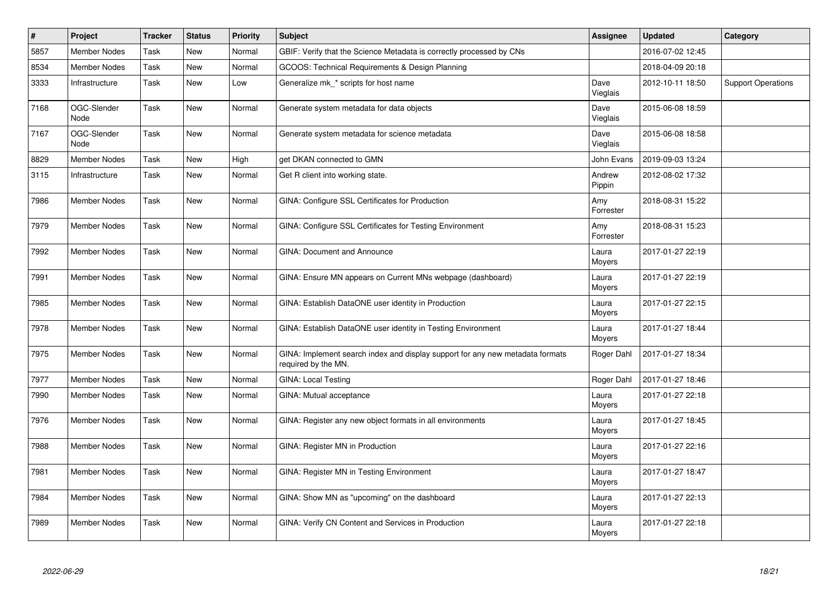| $\pmb{\sharp}$ | <b>Project</b>      | <b>Tracker</b> | <b>Status</b> | <b>Priority</b> | <b>Subject</b>                                                                                       | Assignee         | <b>Updated</b>   | Category                  |
|----------------|---------------------|----------------|---------------|-----------------|------------------------------------------------------------------------------------------------------|------------------|------------------|---------------------------|
| 5857           | <b>Member Nodes</b> | Task           | New           | Normal          | GBIF: Verify that the Science Metadata is correctly processed by CNs                                 |                  | 2016-07-02 12:45 |                           |
| 8534           | <b>Member Nodes</b> | Task           | New           | Normal          | GCOOS: Technical Requirements & Design Planning                                                      |                  | 2018-04-09 20:18 |                           |
| 3333           | Infrastructure      | Task           | New           | Low             | Generalize mk * scripts for host name                                                                | Dave<br>Vieglais | 2012-10-11 18:50 | <b>Support Operations</b> |
| 7168           | OGC-Slender<br>Node | Task           | <b>New</b>    | Normal          | Generate system metadata for data objects                                                            | Dave<br>Vieglais | 2015-06-08 18:59 |                           |
| 7167           | OGC-Slender<br>Node | Task           | New           | Normal          | Generate system metadata for science metadata                                                        | Dave<br>Vieglais | 2015-06-08 18:58 |                           |
| 8829           | Member Nodes        | Task           | New           | High            | get DKAN connected to GMN                                                                            | John Evans       | 2019-09-03 13:24 |                           |
| 3115           | Infrastructure      | Task           | New           | Normal          | Get R client into working state.                                                                     | Andrew<br>Pippin | 2012-08-02 17:32 |                           |
| 7986           | Member Nodes        | Task           | New           | Normal          | GINA: Configure SSL Certificates for Production                                                      | Amy<br>Forrester | 2018-08-31 15:22 |                           |
| 7979           | <b>Member Nodes</b> | Task           | New           | Normal          | GINA: Configure SSL Certificates for Testing Environment                                             | Amy<br>Forrester | 2018-08-31 15:23 |                           |
| 7992           | <b>Member Nodes</b> | Task           | New           | Normal          | <b>GINA: Document and Announce</b>                                                                   | Laura<br>Moyers  | 2017-01-27 22:19 |                           |
| 7991           | <b>Member Nodes</b> | Task           | New           | Normal          | GINA: Ensure MN appears on Current MNs webpage (dashboard)                                           | Laura<br>Moyers  | 2017-01-27 22:19 |                           |
| 7985           | Member Nodes        | Task           | New           | Normal          | GINA: Establish DataONE user identity in Production                                                  | Laura<br>Moyers  | 2017-01-27 22:15 |                           |
| 7978           | <b>Member Nodes</b> | Task           | New           | Normal          | GINA: Establish DataONE user identity in Testing Environment                                         | Laura<br>Moyers  | 2017-01-27 18:44 |                           |
| 7975           | Member Nodes        | Task           | New           | Normal          | GINA: Implement search index and display support for any new metadata formats<br>required by the MN. | Roger Dahl       | 2017-01-27 18:34 |                           |
| 7977           | Member Nodes        | Task           | <b>New</b>    | Normal          | <b>GINA: Local Testing</b>                                                                           | Roger Dahl       | 2017-01-27 18:46 |                           |
| 7990           | <b>Member Nodes</b> | Task           | New           | Normal          | GINA: Mutual acceptance                                                                              | Laura<br>Moyers  | 2017-01-27 22:18 |                           |
| 7976           | <b>Member Nodes</b> | Task           | New           | Normal          | GINA: Register any new object formats in all environments                                            | Laura<br>Moyers  | 2017-01-27 18:45 |                           |
| 7988           | <b>Member Nodes</b> | Task           | New           | Normal          | GINA: Register MN in Production                                                                      | Laura<br>Moyers  | 2017-01-27 22:16 |                           |
| 7981           | <b>Member Nodes</b> | Task           | New           | Normal          | GINA: Register MN in Testing Environment                                                             | Laura<br>Moyers  | 2017-01-27 18:47 |                           |
| 7984           | Member Nodes        | Task           | New           | Normal          | GINA: Show MN as "upcoming" on the dashboard                                                         | Laura<br>Moyers  | 2017-01-27 22:13 |                           |
| 7989           | Member Nodes        | Task           | New           | Normal          | GINA: Verify CN Content and Services in Production                                                   | Laura<br>Moyers  | 2017-01-27 22:18 |                           |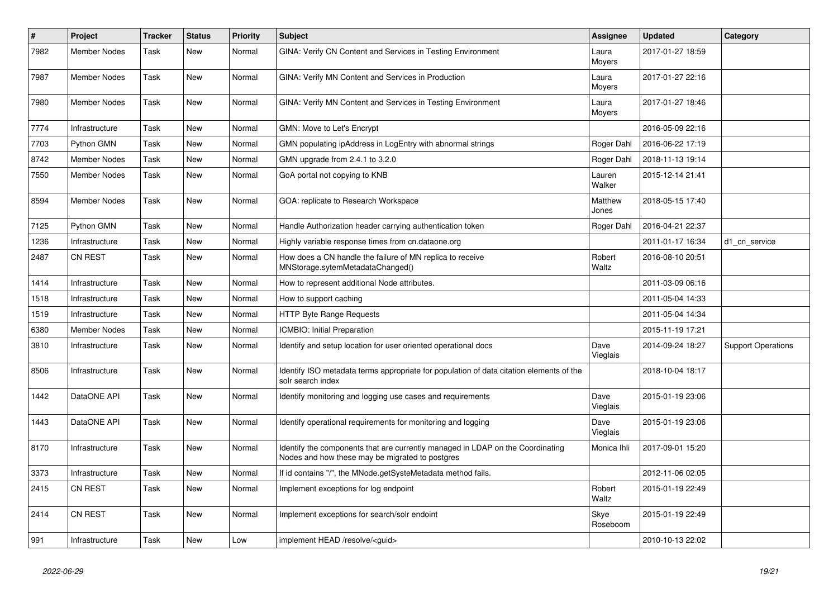| $\vert$ # | Project             | <b>Tracker</b> | <b>Status</b> | <b>Priority</b> | <b>Subject</b>                                                                                                                    | Assignee         | <b>Updated</b>   | Category                  |
|-----------|---------------------|----------------|---------------|-----------------|-----------------------------------------------------------------------------------------------------------------------------------|------------------|------------------|---------------------------|
| 7982      | <b>Member Nodes</b> | Task           | New           | Normal          | GINA: Verify CN Content and Services in Testing Environment                                                                       | Laura<br>Moyers  | 2017-01-27 18:59 |                           |
| 7987      | <b>Member Nodes</b> | Task           | New           | Normal          | GINA: Verify MN Content and Services in Production                                                                                | Laura<br>Moyers  | 2017-01-27 22:16 |                           |
| 7980      | <b>Member Nodes</b> | Task           | <b>New</b>    | Normal          | GINA: Verify MN Content and Services in Testing Environment                                                                       | Laura<br>Moyers  | 2017-01-27 18:46 |                           |
| 7774      | Infrastructure      | Task           | New           | Normal          | GMN: Move to Let's Encrypt                                                                                                        |                  | 2016-05-09 22:16 |                           |
| 7703      | Python GMN          | Task           | New           | Normal          | GMN populating ipAddress in LogEntry with abnormal strings                                                                        | Roger Dahl       | 2016-06-22 17:19 |                           |
| 8742      | <b>Member Nodes</b> | Task           | New           | Normal          | GMN upgrade from 2.4.1 to 3.2.0                                                                                                   | Roger Dahl       | 2018-11-13 19:14 |                           |
| 7550      | <b>Member Nodes</b> | Task           | New           | Normal          | GoA portal not copying to KNB                                                                                                     | Lauren<br>Walker | 2015-12-14 21:41 |                           |
| 8594      | <b>Member Nodes</b> | Task           | <b>New</b>    | Normal          | GOA: replicate to Research Workspace                                                                                              | Matthew<br>Jones | 2018-05-15 17:40 |                           |
| 7125      | Python GMN          | Task           | <b>New</b>    | Normal          | Handle Authorization header carrying authentication token                                                                         | Roger Dahl       | 2016-04-21 22:37 |                           |
| 1236      | Infrastructure      | Task           | New           | Normal          | Highly variable response times from cn.dataone.org                                                                                |                  | 2011-01-17 16:34 | d1 cn service             |
| 2487      | <b>CN REST</b>      | Task           | New           | Normal          | How does a CN handle the failure of MN replica to receive<br>MNStorage.sytemMetadataChanged()                                     | Robert<br>Waltz  | 2016-08-10 20:51 |                           |
| 1414      | Infrastructure      | Task           | New           | Normal          | How to represent additional Node attributes.                                                                                      |                  | 2011-03-09 06:16 |                           |
| 1518      | Infrastructure      | Task           | New           | Normal          | How to support caching                                                                                                            |                  | 2011-05-04 14:33 |                           |
| 1519      | Infrastructure      | Task           | New           | Normal          | <b>HTTP Byte Range Requests</b>                                                                                                   |                  | 2011-05-04 14:34 |                           |
| 6380      | <b>Member Nodes</b> | Task           | New           | Normal          | <b>ICMBIO: Initial Preparation</b>                                                                                                |                  | 2015-11-19 17:21 |                           |
| 3810      | Infrastructure      | Task           | New           | Normal          | Identify and setup location for user oriented operational docs                                                                    | Dave<br>Vieglais | 2014-09-24 18:27 | <b>Support Operations</b> |
| 8506      | Infrastructure      | Task           | New           | Normal          | Identify ISO metadata terms appropriate for population of data citation elements of the<br>solr search index                      |                  | 2018-10-04 18:17 |                           |
| 1442      | DataONE API         | Task           | <b>New</b>    | Normal          | Identify monitoring and logging use cases and requirements                                                                        | Dave<br>Vieglais | 2015-01-19 23:06 |                           |
| 1443      | DataONE API         | Task           | New           | Normal          | Identify operational requirements for monitoring and logging                                                                      | Dave<br>Vieglais | 2015-01-19 23:06 |                           |
| 8170      | Infrastructure      | Task           | New           | Normal          | Identify the components that are currently managed in LDAP on the Coordinating<br>Nodes and how these may be migrated to postgres | Monica Ihli      | 2017-09-01 15:20 |                           |
| 3373      | Infrastructure      | Task           | New           | Normal          | If id contains "/", the MNode.getSysteMetadata method fails.                                                                      |                  | 2012-11-06 02:05 |                           |
| 2415      | <b>CN REST</b>      | Task           | <b>New</b>    | Normal          | Implement exceptions for log endpoint                                                                                             | Robert<br>Waltz  | 2015-01-19 22:49 |                           |
| 2414      | <b>CN REST</b>      | Task           | New           | Normal          | Implement exceptions for search/solr endoint                                                                                      | Skye<br>Roseboom | 2015-01-19 22:49 |                           |
| 991       | Infrastructure      | Task           | New           | Low             | implement HEAD /resolve/ <guid></guid>                                                                                            |                  | 2010-10-13 22:02 |                           |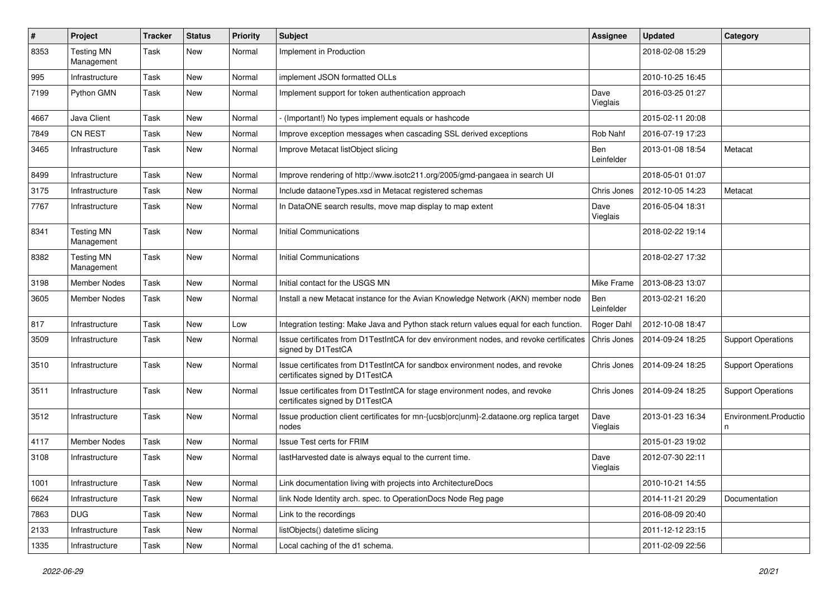| $\pmb{\#}$ | Project                         | <b>Tracker</b> | <b>Status</b> | <b>Priority</b> | Subject                                                                                                          | <b>Assignee</b>   | <b>Updated</b>   | Category                  |
|------------|---------------------------------|----------------|---------------|-----------------|------------------------------------------------------------------------------------------------------------------|-------------------|------------------|---------------------------|
| 8353       | <b>Testing MN</b><br>Management | Task           | New           | Normal          | Implement in Production                                                                                          |                   | 2018-02-08 15:29 |                           |
| 995        | Infrastructure                  | Task           | New           | Normal          | implement JSON formatted OLLs                                                                                    |                   | 2010-10-25 16:45 |                           |
| 7199       | Python GMN                      | Task           | New           | Normal          | Implement support for token authentication approach                                                              | Dave<br>Vieglais  | 2016-03-25 01:27 |                           |
| 4667       | Java Client                     | Task           | New           | Normal          | (Important!) No types implement equals or hashcode                                                               |                   | 2015-02-11 20:08 |                           |
| 7849       | <b>CN REST</b>                  | Task           | <b>New</b>    | Normal          | Improve exception messages when cascading SSL derived exceptions                                                 | Rob Nahf          | 2016-07-19 17:23 |                           |
| 3465       | Infrastructure                  | Task           | New           | Normal          | Improve Metacat listObject slicing                                                                               | Ben<br>Leinfelder | 2013-01-08 18:54 | Metacat                   |
| 8499       | Infrastructure                  | Task           | New           | Normal          | Improve rendering of http://www.isotc211.org/2005/gmd-pangaea in search UI                                       |                   | 2018-05-01 01:07 |                           |
| 3175       | Infrastructure                  | Task           | New           | Normal          | Include dataoneTypes.xsd in Metacat registered schemas                                                           | Chris Jones       | 2012-10-05 14:23 | Metacat                   |
| 7767       | Infrastructure                  | Task           | New           | Normal          | In DataONE search results, move map display to map extent                                                        | Dave<br>Vieglais  | 2016-05-04 18:31 |                           |
| 8341       | <b>Testing MN</b><br>Management | Task           | New           | Normal          | <b>Initial Communications</b>                                                                                    |                   | 2018-02-22 19:14 |                           |
| 8382       | <b>Testing MN</b><br>Management | Task           | New           | Normal          | <b>Initial Communications</b>                                                                                    |                   | 2018-02-27 17:32 |                           |
| 3198       | <b>Member Nodes</b>             | Task           | <b>New</b>    | Normal          | Initial contact for the USGS MN                                                                                  | Mike Frame        | 2013-08-23 13:07 |                           |
| 3605       | <b>Member Nodes</b>             | Task           | New           | Normal          | Install a new Metacat instance for the Avian Knowledge Network (AKN) member node                                 | Ben<br>Leinfelder | 2013-02-21 16:20 |                           |
| 817        | Infrastructure                  | Task           | New           | Low             | Integration testing: Make Java and Python stack return values equal for each function.                           | Roger Dahl        | 2012-10-08 18:47 |                           |
| 3509       | Infrastructure                  | Task           | New           | Normal          | Issue certificates from D1TestIntCA for dev environment nodes, and revoke certificates<br>signed by D1TestCA     | Chris Jones       | 2014-09-24 18:25 | <b>Support Operations</b> |
| 3510       | Infrastructure                  | Task           | New           | Normal          | Issue certificates from D1TestIntCA for sandbox environment nodes, and revoke<br>certificates signed by D1TestCA | Chris Jones       | 2014-09-24 18:25 | <b>Support Operations</b> |
| 3511       | Infrastructure                  | Task           | New           | Normal          | Issue certificates from D1TestIntCA for stage environment nodes, and revoke<br>certificates signed by D1TestCA   | Chris Jones       | 2014-09-24 18:25 | <b>Support Operations</b> |
| 3512       | Infrastructure                  | Task           | New           | Normal          | Issue production client certificates for mn-{ucsb orc unm}-2.dataone.org replica target<br>nodes                 | Dave<br>Vieglais  | 2013-01-23 16:34 | Environment.Productio     |
| 4117       | <b>Member Nodes</b>             | Task           | New           | Normal          | <b>Issue Test certs for FRIM</b>                                                                                 |                   | 2015-01-23 19:02 |                           |
| 3108       | Infrastructure                  | Task           | New           | Normal          | lastHarvested date is always equal to the current time.                                                          | Dave<br>Vieglais  | 2012-07-30 22:11 |                           |
| 1001       | Infrastructure                  | Task           | New           | Normal          | Link documentation living with projects into ArchitectureDocs                                                    |                   | 2010-10-21 14:55 |                           |
| 6624       | Infrastructure                  | Task           | New           | Normal          | link Node Identity arch. spec. to OperationDocs Node Reg page                                                    |                   | 2014-11-21 20:29 | Documentation             |
| 7863       | <b>DUG</b>                      | Task           | New           | Normal          | Link to the recordings                                                                                           |                   | 2016-08-09 20:40 |                           |
| 2133       | Infrastructure                  | Task           | New           | Normal          | listObjects() datetime slicing                                                                                   |                   | 2011-12-12 23:15 |                           |
| 1335       | Infrastructure                  | Task           | New           | Normal          | Local caching of the d1 schema.                                                                                  |                   | 2011-02-09 22:56 |                           |